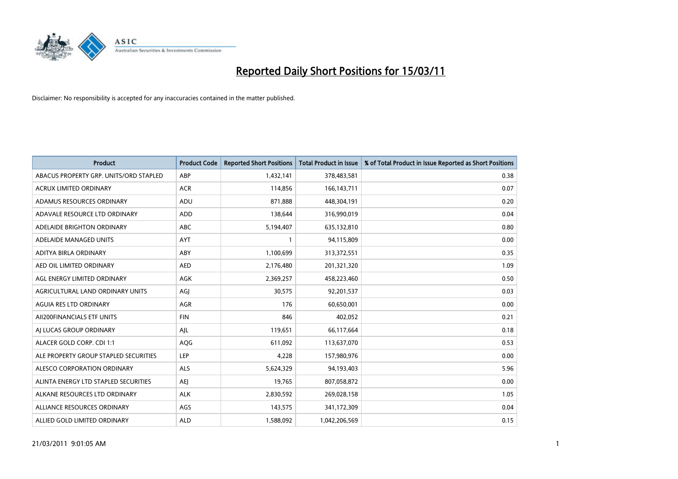

| Product                                | <b>Product Code</b> | <b>Reported Short Positions</b> | Total Product in Issue | % of Total Product in Issue Reported as Short Positions |
|----------------------------------------|---------------------|---------------------------------|------------------------|---------------------------------------------------------|
| ABACUS PROPERTY GRP. UNITS/ORD STAPLED | ABP                 | 1,432,141                       | 378,483,581            | 0.38                                                    |
| <b>ACRUX LIMITED ORDINARY</b>          | <b>ACR</b>          | 114,856                         | 166, 143, 711          | 0.07                                                    |
| ADAMUS RESOURCES ORDINARY              | ADU                 | 871,888                         | 448,304,191            | 0.20                                                    |
| ADAVALE RESOURCE LTD ORDINARY          | <b>ADD</b>          | 138,644                         | 316,990,019            | 0.04                                                    |
| ADELAIDE BRIGHTON ORDINARY             | <b>ABC</b>          | 5,194,407                       | 635,132,810            | 0.80                                                    |
| ADELAIDE MANAGED UNITS                 | <b>AYT</b>          |                                 | 94,115,809             | 0.00                                                    |
| ADITYA BIRLA ORDINARY                  | ABY                 | 1,100,699                       | 313,372,551            | 0.35                                                    |
| AED OIL LIMITED ORDINARY               | <b>AED</b>          | 2,176,480                       | 201,321,320            | 1.09                                                    |
| AGL ENERGY LIMITED ORDINARY            | <b>AGK</b>          | 2,369,257                       | 458,223,460            | 0.50                                                    |
| AGRICULTURAL LAND ORDINARY UNITS       | AGI                 | 30,575                          | 92,201,537             | 0.03                                                    |
| AGUIA RES LTD ORDINARY                 | <b>AGR</b>          | 176                             | 60,650,001             | 0.00                                                    |
| AII200FINANCIALS ETF UNITS             | <b>FIN</b>          | 846                             | 402,052                | 0.21                                                    |
| AI LUCAS GROUP ORDINARY                | AJL                 | 119,651                         | 66,117,664             | 0.18                                                    |
| ALACER GOLD CORP. CDI 1:1              | AQG                 | 611,092                         | 113,637,070            | 0.53                                                    |
| ALE PROPERTY GROUP STAPLED SECURITIES  | LEP                 | 4,228                           | 157,980,976            | 0.00                                                    |
| ALESCO CORPORATION ORDINARY            | <b>ALS</b>          | 5,624,329                       | 94,193,403             | 5.96                                                    |
| ALINTA ENERGY LTD STAPLED SECURITIES   | AEJ                 | 19,765                          | 807,058,872            | 0.00                                                    |
| ALKANE RESOURCES LTD ORDINARY          | <b>ALK</b>          | 2,830,592                       | 269,028,158            | 1.05                                                    |
| ALLIANCE RESOURCES ORDINARY            | AGS                 | 143,575                         | 341,172,309            | 0.04                                                    |
| ALLIED GOLD LIMITED ORDINARY           | <b>ALD</b>          | 1,588,092                       | 1,042,206,569          | 0.15                                                    |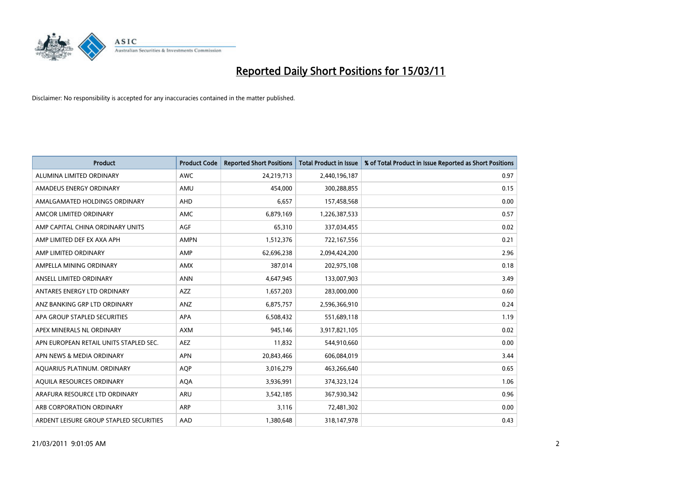

| Product                                 | <b>Product Code</b> | <b>Reported Short Positions</b> | <b>Total Product in Issue</b> | % of Total Product in Issue Reported as Short Positions |
|-----------------------------------------|---------------------|---------------------------------|-------------------------------|---------------------------------------------------------|
| ALUMINA LIMITED ORDINARY                | <b>AWC</b>          | 24,219,713                      | 2,440,196,187                 | 0.97                                                    |
| AMADEUS ENERGY ORDINARY                 | AMU                 | 454.000                         | 300,288,855                   | 0.15                                                    |
| AMALGAMATED HOLDINGS ORDINARY           | AHD                 | 6,657                           | 157,458,568                   | 0.00                                                    |
| AMCOR LIMITED ORDINARY                  | <b>AMC</b>          | 6,879,169                       | 1,226,387,533                 | 0.57                                                    |
| AMP CAPITAL CHINA ORDINARY UNITS        | <b>AGF</b>          | 65,310                          | 337,034,455                   | 0.02                                                    |
| AMP LIMITED DEF EX AXA APH              | <b>AMPN</b>         | 1,512,376                       | 722,167,556                   | 0.21                                                    |
| AMP LIMITED ORDINARY                    | AMP                 | 62,696,238                      | 2,094,424,200                 | 2.96                                                    |
| AMPELLA MINING ORDINARY                 | <b>AMX</b>          | 387,014                         | 202,975,108                   | 0.18                                                    |
| ANSELL LIMITED ORDINARY                 | <b>ANN</b>          | 4,647,945                       | 133,007,903                   | 3.49                                                    |
| ANTARES ENERGY LTD ORDINARY             | AZZ                 | 1,657,203                       | 283,000,000                   | 0.60                                                    |
| ANZ BANKING GRP LTD ORDINARY            | ANZ                 | 6,875,757                       | 2,596,366,910                 | 0.24                                                    |
| APA GROUP STAPLED SECURITIES            | <b>APA</b>          | 6,508,432                       | 551,689,118                   | 1.19                                                    |
| APEX MINERALS NL ORDINARY               | <b>AXM</b>          | 945,146                         | 3,917,821,105                 | 0.02                                                    |
| APN EUROPEAN RETAIL UNITS STAPLED SEC.  | <b>AEZ</b>          | 11,832                          | 544,910,660                   | 0.00                                                    |
| APN NEWS & MEDIA ORDINARY               | <b>APN</b>          | 20,843,466                      | 606,084,019                   | 3.44                                                    |
| AQUARIUS PLATINUM. ORDINARY             | <b>AOP</b>          | 3,016,279                       | 463,266,640                   | 0.65                                                    |
| AQUILA RESOURCES ORDINARY               | <b>AQA</b>          | 3,936,991                       | 374,323,124                   | 1.06                                                    |
| ARAFURA RESOURCE LTD ORDINARY           | ARU                 | 3,542,185                       | 367,930,342                   | 0.96                                                    |
| ARB CORPORATION ORDINARY                | ARP                 | 3,116                           | 72,481,302                    | 0.00                                                    |
| ARDENT LEISURE GROUP STAPLED SECURITIES | AAD                 | 1,380,648                       | 318,147,978                   | 0.43                                                    |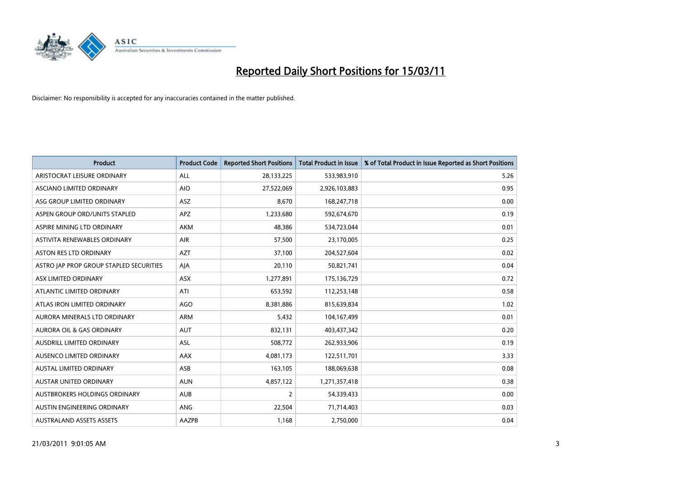

| <b>Product</b>                          | <b>Product Code</b> | <b>Reported Short Positions</b> | <b>Total Product in Issue</b> | % of Total Product in Issue Reported as Short Positions |
|-----------------------------------------|---------------------|---------------------------------|-------------------------------|---------------------------------------------------------|
| ARISTOCRAT LEISURE ORDINARY             | ALL                 | 28,133,225                      | 533,983,910                   | 5.26                                                    |
| ASCIANO LIMITED ORDINARY                | <b>AIO</b>          | 27,522,069                      | 2,926,103,883                 | 0.95                                                    |
| ASG GROUP LIMITED ORDINARY              | ASZ                 | 8,670                           | 168,247,718                   | 0.00                                                    |
| ASPEN GROUP ORD/UNITS STAPLED           | <b>APZ</b>          | 1,233,680                       | 592,674,670                   | 0.19                                                    |
| ASPIRE MINING LTD ORDINARY              | <b>AKM</b>          | 48,386                          | 534,723,044                   | 0.01                                                    |
| ASTIVITA RENEWABLES ORDINARY            | <b>AIR</b>          | 57,500                          | 23,170,005                    | 0.25                                                    |
| <b>ASTON RES LTD ORDINARY</b>           | <b>AZT</b>          | 37,100                          | 204,527,604                   | 0.02                                                    |
| ASTRO JAP PROP GROUP STAPLED SECURITIES | AJA                 | 20,110                          | 50,821,741                    | 0.04                                                    |
| ASX LIMITED ORDINARY                    | <b>ASX</b>          | 1,277,891                       | 175,136,729                   | 0.72                                                    |
| ATLANTIC LIMITED ORDINARY               | ATI                 | 653,592                         | 112,253,148                   | 0.58                                                    |
| ATLAS IRON LIMITED ORDINARY             | <b>AGO</b>          | 8,381,886                       | 815,639,834                   | 1.02                                                    |
| AURORA MINERALS LTD ORDINARY            | ARM                 | 5,432                           | 104,167,499                   | 0.01                                                    |
| <b>AURORA OIL &amp; GAS ORDINARY</b>    | <b>AUT</b>          | 832,131                         | 403,437,342                   | 0.20                                                    |
| AUSDRILL LIMITED ORDINARY               | ASL                 | 508,772                         | 262,933,906                   | 0.19                                                    |
| AUSENCO LIMITED ORDINARY                | AAX                 | 4,081,173                       | 122,511,701                   | 3.33                                                    |
| <b>AUSTAL LIMITED ORDINARY</b>          | ASB                 | 163,105                         | 188,069,638                   | 0.08                                                    |
| <b>AUSTAR UNITED ORDINARY</b>           | <b>AUN</b>          | 4,857,122                       | 1,271,357,418                 | 0.38                                                    |
| AUSTBROKERS HOLDINGS ORDINARY           | <b>AUB</b>          | 2                               | 54,339,433                    | 0.00                                                    |
| AUSTIN ENGINEERING ORDINARY             | ANG                 | 22,504                          | 71,714,403                    | 0.03                                                    |
| <b>AUSTRALAND ASSETS ASSETS</b>         | <b>AAZPB</b>        | 1,168                           | 2,750,000                     | 0.04                                                    |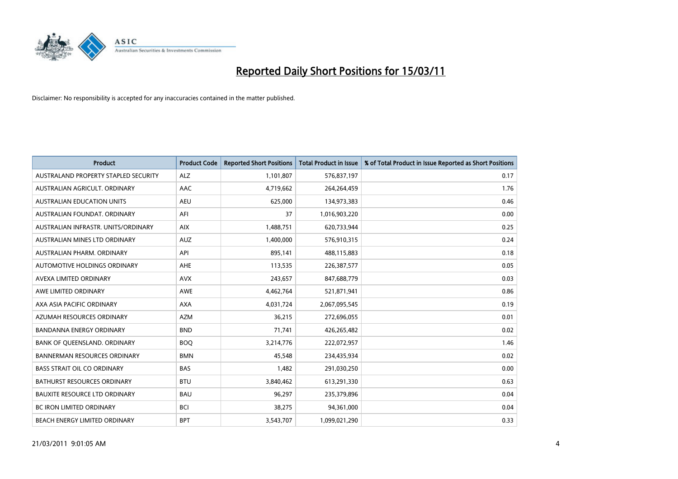

| <b>Product</b>                       | <b>Product Code</b> | <b>Reported Short Positions</b> | Total Product in Issue | % of Total Product in Issue Reported as Short Positions |
|--------------------------------------|---------------------|---------------------------------|------------------------|---------------------------------------------------------|
| AUSTRALAND PROPERTY STAPLED SECURITY | <b>ALZ</b>          | 1,101,807                       | 576,837,197            | 0.17                                                    |
| AUSTRALIAN AGRICULT. ORDINARY        | AAC                 | 4,719,662                       | 264,264,459            | 1.76                                                    |
| <b>AUSTRALIAN EDUCATION UNITS</b>    | <b>AEU</b>          | 625,000                         | 134,973,383            | 0.46                                                    |
| AUSTRALIAN FOUNDAT. ORDINARY         | AFI                 | 37                              | 1,016,903,220          | 0.00                                                    |
| AUSTRALIAN INFRASTR, UNITS/ORDINARY  | <b>AIX</b>          | 1,488,751                       | 620,733,944            | 0.25                                                    |
| AUSTRALIAN MINES LTD ORDINARY        | <b>AUZ</b>          | 1,400,000                       | 576,910,315            | 0.24                                                    |
| AUSTRALIAN PHARM, ORDINARY           | API                 | 895,141                         | 488,115,883            | 0.18                                                    |
| AUTOMOTIVE HOLDINGS ORDINARY         | <b>AHE</b>          | 113,535                         | 226,387,577            | 0.05                                                    |
| AVEXA LIMITED ORDINARY               | <b>AVX</b>          | 243,657                         | 847,688,779            | 0.03                                                    |
| AWE LIMITED ORDINARY                 | <b>AWE</b>          | 4,462,764                       | 521,871,941            | 0.86                                                    |
| AXA ASIA PACIFIC ORDINARY            | <b>AXA</b>          | 4,031,724                       | 2,067,095,545          | 0.19                                                    |
| AZUMAH RESOURCES ORDINARY            | <b>AZM</b>          | 36,215                          | 272,696,055            | 0.01                                                    |
| <b>BANDANNA ENERGY ORDINARY</b>      | <b>BND</b>          | 71,741                          | 426,265,482            | 0.02                                                    |
| BANK OF QUEENSLAND. ORDINARY         | <b>BOQ</b>          | 3,214,776                       | 222,072,957            | 1.46                                                    |
| <b>BANNERMAN RESOURCES ORDINARY</b>  | <b>BMN</b>          | 45,548                          | 234,435,934            | 0.02                                                    |
| <b>BASS STRAIT OIL CO ORDINARY</b>   | <b>BAS</b>          | 1.482                           | 291,030,250            | 0.00                                                    |
| <b>BATHURST RESOURCES ORDINARY</b>   | <b>BTU</b>          | 3,840,462                       | 613,291,330            | 0.63                                                    |
| <b>BAUXITE RESOURCE LTD ORDINARY</b> | <b>BAU</b>          | 96,297                          | 235,379,896            | 0.04                                                    |
| <b>BC IRON LIMITED ORDINARY</b>      | <b>BCI</b>          | 38,275                          | 94,361,000             | 0.04                                                    |
| BEACH ENERGY LIMITED ORDINARY        | <b>BPT</b>          | 3,543,707                       | 1,099,021,290          | 0.33                                                    |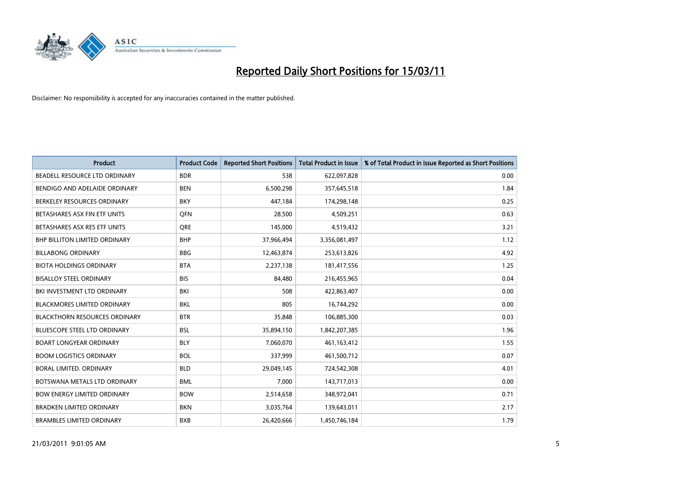

| <b>Product</b>                       | <b>Product Code</b> | <b>Reported Short Positions</b> | <b>Total Product in Issue</b> | % of Total Product in Issue Reported as Short Positions |
|--------------------------------------|---------------------|---------------------------------|-------------------------------|---------------------------------------------------------|
| BEADELL RESOURCE LTD ORDINARY        | <b>BDR</b>          | 538                             | 622,097,828                   | 0.00                                                    |
| BENDIGO AND ADELAIDE ORDINARY        | <b>BEN</b>          | 6,500,298                       | 357,645,518                   | 1.84                                                    |
| BERKELEY RESOURCES ORDINARY          | <b>BKY</b>          | 447,184                         | 174,298,148                   | 0.25                                                    |
| BETASHARES ASX FIN ETF UNITS         | <b>OFN</b>          | 28,500                          | 4,509,251                     | 0.63                                                    |
| BETASHARES ASX RES ETF UNITS         | <b>ORE</b>          | 145,000                         | 4,519,432                     | 3.21                                                    |
| <b>BHP BILLITON LIMITED ORDINARY</b> | <b>BHP</b>          | 37,966,494                      | 3,356,081,497                 | 1.12                                                    |
| <b>BILLABONG ORDINARY</b>            | <b>BBG</b>          | 12,463,874                      | 253,613,826                   | 4.92                                                    |
| <b>BIOTA HOLDINGS ORDINARY</b>       | <b>BTA</b>          | 2,237,138                       | 181,417,556                   | 1.25                                                    |
| <b>BISALLOY STEEL ORDINARY</b>       | <b>BIS</b>          | 84,480                          | 216,455,965                   | 0.04                                                    |
| BKI INVESTMENT LTD ORDINARY          | <b>BKI</b>          | 508                             | 422,863,407                   | 0.00                                                    |
| <b>BLACKMORES LIMITED ORDINARY</b>   | <b>BKL</b>          | 805                             | 16,744,292                    | 0.00                                                    |
| <b>BLACKTHORN RESOURCES ORDINARY</b> | <b>BTR</b>          | 35,848                          | 106,885,300                   | 0.03                                                    |
| <b>BLUESCOPE STEEL LTD ORDINARY</b>  | <b>BSL</b>          | 35,894,150                      | 1,842,207,385                 | 1.96                                                    |
| <b>BOART LONGYEAR ORDINARY</b>       | <b>BLY</b>          | 7,060,070                       | 461,163,412                   | 1.55                                                    |
| <b>BOOM LOGISTICS ORDINARY</b>       | <b>BOL</b>          | 337,999                         | 461,500,712                   | 0.07                                                    |
| BORAL LIMITED. ORDINARY              | <b>BLD</b>          | 29,049,145                      | 724,542,308                   | 4.01                                                    |
| BOTSWANA METALS LTD ORDINARY         | <b>BML</b>          | 7,000                           | 143,717,013                   | 0.00                                                    |
| <b>BOW ENERGY LIMITED ORDINARY</b>   | <b>BOW</b>          | 2,514,658                       | 348,972,041                   | 0.71                                                    |
| <b>BRADKEN LIMITED ORDINARY</b>      | <b>BKN</b>          | 3,035,764                       | 139,643,011                   | 2.17                                                    |
| <b>BRAMBLES LIMITED ORDINARY</b>     | <b>BXB</b>          | 26,420,666                      | 1,450,746,184                 | 1.79                                                    |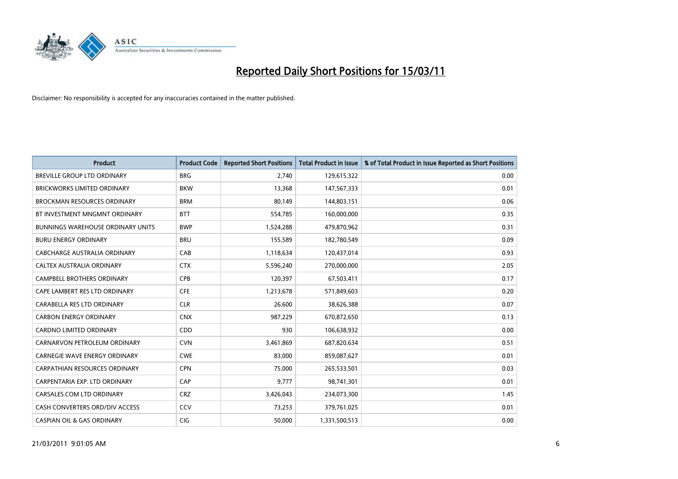

| <b>Product</b>                           | <b>Product Code</b> | <b>Reported Short Positions</b> | <b>Total Product in Issue</b> | % of Total Product in Issue Reported as Short Positions |
|------------------------------------------|---------------------|---------------------------------|-------------------------------|---------------------------------------------------------|
| <b>BREVILLE GROUP LTD ORDINARY</b>       | <b>BRG</b>          | 2,740                           | 129,615,322                   | 0.00                                                    |
| <b>BRICKWORKS LIMITED ORDINARY</b>       | <b>BKW</b>          | 13,368                          | 147,567,333                   | 0.01                                                    |
| <b>BROCKMAN RESOURCES ORDINARY</b>       | <b>BRM</b>          | 80,149                          | 144,803,151                   | 0.06                                                    |
| BT INVESTMENT MNGMNT ORDINARY            | <b>BTT</b>          | 554,785                         | 160,000,000                   | 0.35                                                    |
| <b>BUNNINGS WAREHOUSE ORDINARY UNITS</b> | <b>BWP</b>          | 1,524,288                       | 479,870,962                   | 0.31                                                    |
| <b>BURU ENERGY ORDINARY</b>              | <b>BRU</b>          | 155,589                         | 182,780,549                   | 0.09                                                    |
| <b>CABCHARGE AUSTRALIA ORDINARY</b>      | CAB                 | 1,118,634                       | 120,437,014                   | 0.93                                                    |
| CALTEX AUSTRALIA ORDINARY                | <b>CTX</b>          | 5,596,240                       | 270,000,000                   | 2.05                                                    |
| <b>CAMPBELL BROTHERS ORDINARY</b>        | CPB                 | 120,397                         | 67,503,411                    | 0.17                                                    |
| CAPE LAMBERT RES LTD ORDINARY            | <b>CFE</b>          | 1,213,678                       | 571,849,603                   | 0.20                                                    |
| CARABELLA RES LTD ORDINARY               | <b>CLR</b>          | 26,600                          | 38,626,388                    | 0.07                                                    |
| <b>CARBON ENERGY ORDINARY</b>            | <b>CNX</b>          | 987,229                         | 670,872,650                   | 0.13                                                    |
| CARDNO LIMITED ORDINARY                  | CDD                 | 930                             | 106,638,932                   | 0.00                                                    |
| CARNARVON PETROLEUM ORDINARY             | <b>CVN</b>          | 3,461,869                       | 687,820,634                   | 0.51                                                    |
| CARNEGIE WAVE ENERGY ORDINARY            | <b>CWE</b>          | 83,000                          | 859,087,627                   | 0.01                                                    |
| <b>CARPATHIAN RESOURCES ORDINARY</b>     | <b>CPN</b>          | 75,000                          | 265,533,501                   | 0.03                                                    |
| CARPENTARIA EXP. LTD ORDINARY            | CAP                 | 9,777                           | 98,741,301                    | 0.01                                                    |
| CARSALES.COM LTD ORDINARY                | <b>CRZ</b>          | 3,426,043                       | 234,073,300                   | 1.45                                                    |
| CASH CONVERTERS ORD/DIV ACCESS           | CCV                 | 73,253                          | 379,761,025                   | 0.01                                                    |
| <b>CASPIAN OIL &amp; GAS ORDINARY</b>    | <b>CIG</b>          | 50.000                          | 1,331,500,513                 | 0.00                                                    |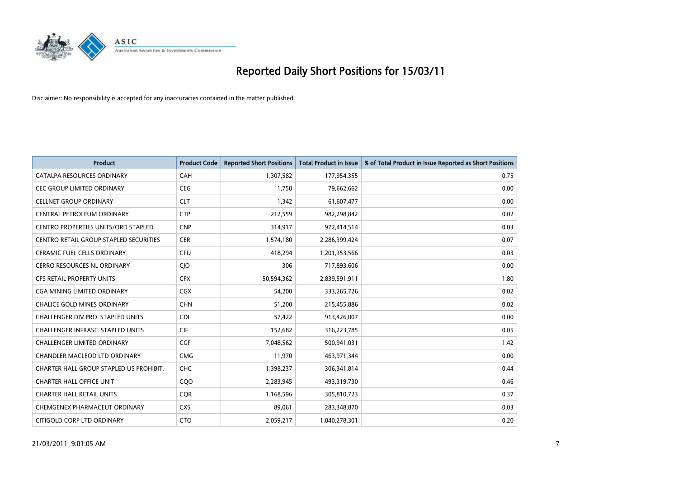

| <b>Product</b>                                | <b>Product Code</b> | <b>Reported Short Positions</b> | <b>Total Product in Issue</b> | % of Total Product in Issue Reported as Short Positions |
|-----------------------------------------------|---------------------|---------------------------------|-------------------------------|---------------------------------------------------------|
| CATALPA RESOURCES ORDINARY                    | <b>CAH</b>          | 1,307,582                       | 177,954,355                   | 0.75                                                    |
| CEC GROUP LIMITED ORDINARY                    | <b>CEG</b>          | 1,750                           | 79,662,662                    | 0.00                                                    |
| <b>CELLNET GROUP ORDINARY</b>                 | <b>CLT</b>          | 1,342                           | 61,607,477                    | 0.00                                                    |
| CENTRAL PETROLEUM ORDINARY                    | <b>CTP</b>          | 212,559                         | 982,298,842                   | 0.02                                                    |
| <b>CENTRO PROPERTIES UNITS/ORD STAPLED</b>    | <b>CNP</b>          | 314,917                         | 972,414,514                   | 0.03                                                    |
| <b>CENTRO RETAIL GROUP STAPLED SECURITIES</b> | <b>CER</b>          | 1,574,180                       | 2,286,399,424                 | 0.07                                                    |
| <b>CERAMIC FUEL CELLS ORDINARY</b>            | <b>CFU</b>          | 418.294                         | 1,201,353,566                 | 0.03                                                    |
| <b>CERRO RESOURCES NL ORDINARY</b>            | CJO                 | 306                             | 717,893,606                   | 0.00                                                    |
| <b>CFS RETAIL PROPERTY UNITS</b>              | <b>CFX</b>          | 50,594,362                      | 2,839,591,911                 | 1.80                                                    |
| <b>CGA MINING LIMITED ORDINARY</b>            | <b>CGX</b>          | 54,200                          | 333,265,726                   | 0.02                                                    |
| <b>CHALICE GOLD MINES ORDINARY</b>            | <b>CHN</b>          | 51,200                          | 215,455,886                   | 0.02                                                    |
| <b>CHALLENGER DIV.PRO. STAPLED UNITS</b>      | <b>CDI</b>          | 57,422                          | 913,426,007                   | 0.00                                                    |
| <b>CHALLENGER INFRAST, STAPLED UNITS</b>      | <b>CIF</b>          | 152,682                         | 316,223,785                   | 0.05                                                    |
| <b>CHALLENGER LIMITED ORDINARY</b>            | CGF                 | 7,048,562                       | 500,941,031                   | 1.42                                                    |
| <b>CHANDLER MACLEOD LTD ORDINARY</b>          | <b>CMG</b>          | 11,970                          | 463,971,344                   | 0.00                                                    |
| CHARTER HALL GROUP STAPLED US PROHIBIT.       | <b>CHC</b>          | 1,398,237                       | 306,341,814                   | 0.44                                                    |
| <b>CHARTER HALL OFFICE UNIT</b>               | CQO                 | 2,283,945                       | 493,319,730                   | 0.46                                                    |
| <b>CHARTER HALL RETAIL UNITS</b>              | <b>COR</b>          | 1,168,596                       | 305,810,723                   | 0.37                                                    |
| CHEMGENEX PHARMACEUT ORDINARY                 | <b>CXS</b>          | 89,061                          | 283,348,870                   | 0.03                                                    |
| CITIGOLD CORP LTD ORDINARY                    | <b>CTO</b>          | 2,059,217                       | 1,040,278,301                 | 0.20                                                    |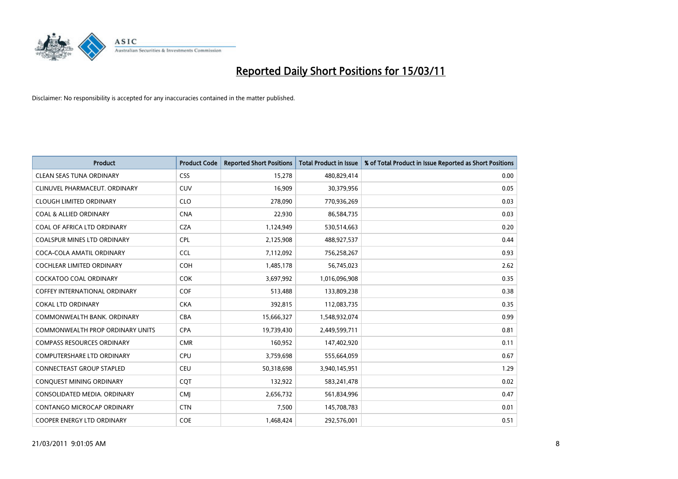

| <b>Product</b>                          | <b>Product Code</b> | <b>Reported Short Positions</b> | <b>Total Product in Issue</b> | % of Total Product in Issue Reported as Short Positions |
|-----------------------------------------|---------------------|---------------------------------|-------------------------------|---------------------------------------------------------|
| <b>CLEAN SEAS TUNA ORDINARY</b>         | <b>CSS</b>          | 15,278                          | 480,829,414                   | 0.00                                                    |
| CLINUVEL PHARMACEUT, ORDINARY           | <b>CUV</b>          | 16,909                          | 30,379,956                    | 0.05                                                    |
| <b>CLOUGH LIMITED ORDINARY</b>          | <b>CLO</b>          | 278,090                         | 770,936,269                   | 0.03                                                    |
| <b>COAL &amp; ALLIED ORDINARY</b>       | <b>CNA</b>          | 22,930                          | 86,584,735                    | 0.03                                                    |
| COAL OF AFRICA LTD ORDINARY             | <b>CZA</b>          | 1,124,949                       | 530,514,663                   | 0.20                                                    |
| <b>COALSPUR MINES LTD ORDINARY</b>      | <b>CPL</b>          | 2,125,908                       | 488,927,537                   | 0.44                                                    |
| COCA-COLA AMATIL ORDINARY               | <b>CCL</b>          | 7,112,092                       | 756,258,267                   | 0.93                                                    |
| <b>COCHLEAR LIMITED ORDINARY</b>        | <b>COH</b>          | 1,485,178                       | 56,745,023                    | 2.62                                                    |
| <b>COCKATOO COAL ORDINARY</b>           | <b>COK</b>          | 3,697,992                       | 1,016,096,908                 | 0.35                                                    |
| <b>COFFEY INTERNATIONAL ORDINARY</b>    | <b>COF</b>          | 513,488                         | 133,809,238                   | 0.38                                                    |
| <b>COKAL LTD ORDINARY</b>               | <b>CKA</b>          | 392,815                         | 112,083,735                   | 0.35                                                    |
| COMMONWEALTH BANK, ORDINARY             | <b>CBA</b>          | 15,666,327                      | 1,548,932,074                 | 0.99                                                    |
| <b>COMMONWEALTH PROP ORDINARY UNITS</b> | <b>CPA</b>          | 19,739,430                      | 2,449,599,711                 | 0.81                                                    |
| <b>COMPASS RESOURCES ORDINARY</b>       | <b>CMR</b>          | 160,952                         | 147,402,920                   | 0.11                                                    |
| <b>COMPUTERSHARE LTD ORDINARY</b>       | <b>CPU</b>          | 3,759,698                       | 555,664,059                   | 0.67                                                    |
| <b>CONNECTEAST GROUP STAPLED</b>        | <b>CEU</b>          | 50,318,698                      | 3,940,145,951                 | 1.29                                                    |
| CONQUEST MINING ORDINARY                | CQT                 | 132,922                         | 583,241,478                   | 0.02                                                    |
| CONSOLIDATED MEDIA. ORDINARY            | <b>CMI</b>          | 2,656,732                       | 561,834,996                   | 0.47                                                    |
| <b>CONTANGO MICROCAP ORDINARY</b>       | <b>CTN</b>          | 7,500                           | 145,708,783                   | 0.01                                                    |
| <b>COOPER ENERGY LTD ORDINARY</b>       | <b>COE</b>          | 1,468,424                       | 292,576,001                   | 0.51                                                    |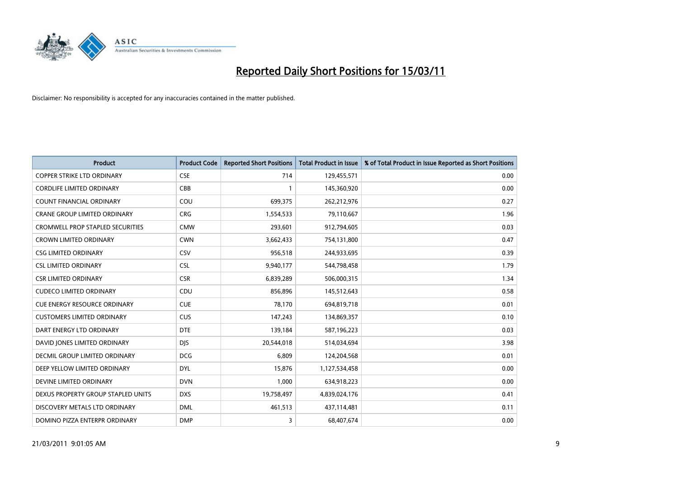

| <b>Product</b>                          | <b>Product Code</b> | <b>Reported Short Positions</b> | <b>Total Product in Issue</b> | % of Total Product in Issue Reported as Short Positions |
|-----------------------------------------|---------------------|---------------------------------|-------------------------------|---------------------------------------------------------|
| <b>COPPER STRIKE LTD ORDINARY</b>       | <b>CSE</b>          | 714                             | 129,455,571                   | 0.00                                                    |
| <b>CORDLIFE LIMITED ORDINARY</b>        | CBB                 |                                 | 145,360,920                   | 0.00                                                    |
| <b>COUNT FINANCIAL ORDINARY</b>         | COU                 | 699,375                         | 262,212,976                   | 0.27                                                    |
| CRANE GROUP LIMITED ORDINARY            | <b>CRG</b>          | 1,554,533                       | 79,110,667                    | 1.96                                                    |
| <b>CROMWELL PROP STAPLED SECURITIES</b> | <b>CMW</b>          | 293,601                         | 912,794,605                   | 0.03                                                    |
| <b>CROWN LIMITED ORDINARY</b>           | <b>CWN</b>          | 3,662,433                       | 754,131,800                   | 0.47                                                    |
| <b>CSG LIMITED ORDINARY</b>             | CSV                 | 956,518                         | 244,933,695                   | 0.39                                                    |
| <b>CSL LIMITED ORDINARY</b>             | <b>CSL</b>          | 9,940,177                       | 544,798,458                   | 1.79                                                    |
| <b>CSR LIMITED ORDINARY</b>             | <b>CSR</b>          | 6,839,289                       | 506,000,315                   | 1.34                                                    |
| <b>CUDECO LIMITED ORDINARY</b>          | CDU                 | 856,896                         | 145,512,643                   | 0.58                                                    |
| <b>CUE ENERGY RESOURCE ORDINARY</b>     | <b>CUE</b>          | 78,170                          | 694,819,718                   | 0.01                                                    |
| <b>CUSTOMERS LIMITED ORDINARY</b>       | <b>CUS</b>          | 147,243                         | 134,869,357                   | 0.10                                                    |
| DART ENERGY LTD ORDINARY                | <b>DTE</b>          | 139,184                         | 587,196,223                   | 0.03                                                    |
| DAVID JONES LIMITED ORDINARY            | <b>DIS</b>          | 20,544,018                      | 514,034,694                   | 3.98                                                    |
| DECMIL GROUP LIMITED ORDINARY           | <b>DCG</b>          | 6,809                           | 124,204,568                   | 0.01                                                    |
| DEEP YELLOW LIMITED ORDINARY            | <b>DYL</b>          | 15,876                          | 1,127,534,458                 | 0.00                                                    |
| DEVINE LIMITED ORDINARY                 | <b>DVN</b>          | 1,000                           | 634,918,223                   | 0.00                                                    |
| DEXUS PROPERTY GROUP STAPLED UNITS      | <b>DXS</b>          | 19,758,497                      | 4,839,024,176                 | 0.41                                                    |
| DISCOVERY METALS LTD ORDINARY           | <b>DML</b>          | 461,513                         | 437,114,481                   | 0.11                                                    |
| DOMINO PIZZA ENTERPR ORDINARY           | <b>DMP</b>          | 3                               | 68,407,674                    | 0.00                                                    |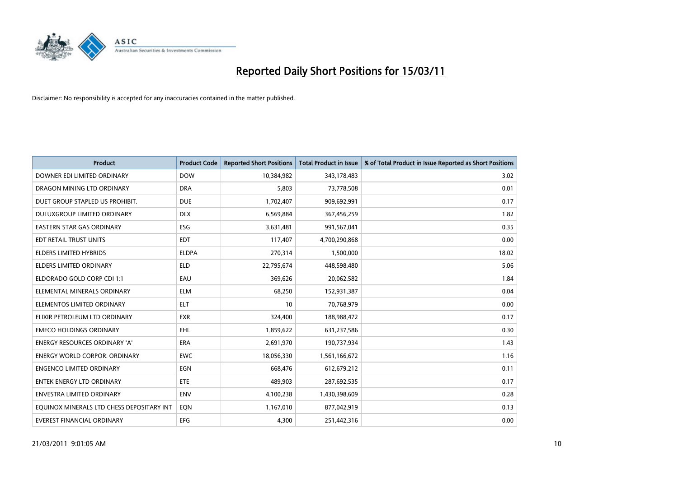

| <b>Product</b>                            | <b>Product Code</b> | <b>Reported Short Positions</b> | <b>Total Product in Issue</b> | % of Total Product in Issue Reported as Short Positions |
|-------------------------------------------|---------------------|---------------------------------|-------------------------------|---------------------------------------------------------|
| DOWNER EDI LIMITED ORDINARY               | <b>DOW</b>          | 10,384,982                      | 343,178,483                   | 3.02                                                    |
| DRAGON MINING LTD ORDINARY                | <b>DRA</b>          | 5,803                           | 73,778,508                    | 0.01                                                    |
| DUET GROUP STAPLED US PROHIBIT.           | <b>DUE</b>          | 1,702,407                       | 909,692,991                   | 0.17                                                    |
| DULUXGROUP LIMITED ORDINARY               | <b>DLX</b>          | 6,569,884                       | 367,456,259                   | 1.82                                                    |
| <b>EASTERN STAR GAS ORDINARY</b>          | <b>ESG</b>          | 3,631,481                       | 991,567,041                   | 0.35                                                    |
| EDT RETAIL TRUST UNITS                    | <b>EDT</b>          | 117,407                         | 4,700,290,868                 | 0.00                                                    |
| <b>ELDERS LIMITED HYBRIDS</b>             | <b>ELDPA</b>        | 270,314                         | 1,500,000                     | 18.02                                                   |
| ELDERS LIMITED ORDINARY                   | <b>ELD</b>          | 22,795,674                      | 448,598,480                   | 5.06                                                    |
| ELDORADO GOLD CORP CDI 1:1                | EAU                 | 369,626                         | 20,062,582                    | 1.84                                                    |
| ELEMENTAL MINERALS ORDINARY               | <b>ELM</b>          | 68,250                          | 152,931,387                   | 0.04                                                    |
| ELEMENTOS LIMITED ORDINARY                | <b>ELT</b>          | 10                              | 70,768,979                    | 0.00                                                    |
| ELIXIR PETROLEUM LTD ORDINARY             | <b>EXR</b>          | 324,400                         | 188,988,472                   | 0.17                                                    |
| <b>EMECO HOLDINGS ORDINARY</b>            | <b>EHL</b>          | 1,859,622                       | 631,237,586                   | 0.30                                                    |
| <b>ENERGY RESOURCES ORDINARY 'A'</b>      | ERA                 | 2,691,970                       | 190,737,934                   | 1.43                                                    |
| <b>ENERGY WORLD CORPOR, ORDINARY</b>      | <b>EWC</b>          | 18,056,330                      | 1,561,166,672                 | 1.16                                                    |
| <b>ENGENCO LIMITED ORDINARY</b>           | EGN                 | 668,476                         | 612,679,212                   | 0.11                                                    |
| ENTEK ENERGY LTD ORDINARY                 | <b>ETE</b>          | 489,903                         | 287,692,535                   | 0.17                                                    |
| <b>ENVESTRA LIMITED ORDINARY</b>          | <b>ENV</b>          | 4,100,238                       | 1,430,398,609                 | 0.28                                                    |
| EQUINOX MINERALS LTD CHESS DEPOSITARY INT | EON                 | 1,167,010                       | 877,042,919                   | 0.13                                                    |
| EVEREST FINANCIAL ORDINARY                | <b>EFG</b>          | 4.300                           | 251,442,316                   | 0.00                                                    |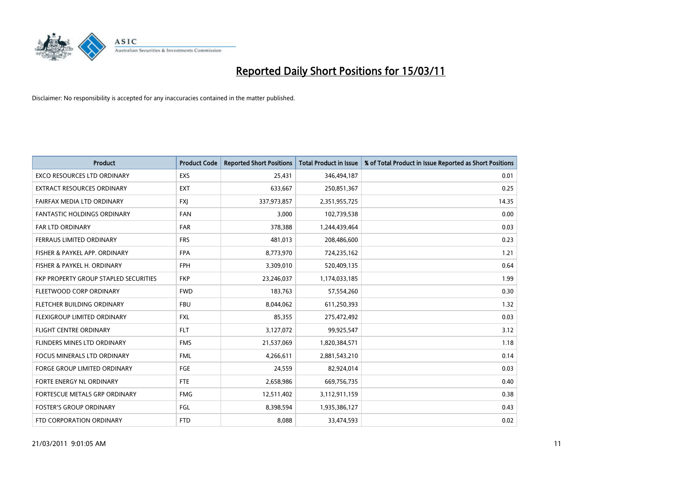

| <b>Product</b>                        | <b>Product Code</b> | <b>Reported Short Positions</b> | Total Product in Issue | % of Total Product in Issue Reported as Short Positions |
|---------------------------------------|---------------------|---------------------------------|------------------------|---------------------------------------------------------|
| <b>EXCO RESOURCES LTD ORDINARY</b>    | EXS                 | 25,431                          | 346,494,187            | 0.01                                                    |
| EXTRACT RESOURCES ORDINARY            | <b>EXT</b>          | 633,667                         | 250,851,367            | 0.25                                                    |
| FAIRFAX MEDIA LTD ORDINARY            | <b>FXJ</b>          | 337,973,857                     | 2,351,955,725          | 14.35                                                   |
| FANTASTIC HOLDINGS ORDINARY           | <b>FAN</b>          | 3,000                           | 102,739,538            | 0.00                                                    |
| <b>FAR LTD ORDINARY</b>               | <b>FAR</b>          | 378,388                         | 1,244,439,464          | 0.03                                                    |
| FERRAUS LIMITED ORDINARY              | <b>FRS</b>          | 481,013                         | 208,486,600            | 0.23                                                    |
| FISHER & PAYKEL APP. ORDINARY         | <b>FPA</b>          | 8,773,970                       | 724,235,162            | 1.21                                                    |
| FISHER & PAYKEL H. ORDINARY           | <b>FPH</b>          | 3,309,010                       | 520,409,135            | 0.64                                                    |
| FKP PROPERTY GROUP STAPLED SECURITIES | <b>FKP</b>          | 23,246,037                      | 1,174,033,185          | 1.99                                                    |
| FLEETWOOD CORP ORDINARY               | <b>FWD</b>          | 183,763                         | 57,554,260             | 0.30                                                    |
| FLETCHER BUILDING ORDINARY            | <b>FBU</b>          | 8,044,062                       | 611,250,393            | 1.32                                                    |
| FLEXIGROUP LIMITED ORDINARY           | <b>FXL</b>          | 85,355                          | 275,472,492            | 0.03                                                    |
| <b>FLIGHT CENTRE ORDINARY</b>         | <b>FLT</b>          | 3,127,072                       | 99,925,547             | 3.12                                                    |
| FLINDERS MINES LTD ORDINARY           | <b>FMS</b>          | 21,537,069                      | 1,820,384,571          | 1.18                                                    |
| <b>FOCUS MINERALS LTD ORDINARY</b>    | <b>FML</b>          | 4,266,611                       | 2,881,543,210          | 0.14                                                    |
| FORGE GROUP LIMITED ORDINARY          | FGE                 | 24,559                          | 82,924,014             | 0.03                                                    |
| FORTE ENERGY NL ORDINARY              | FTE                 | 2,658,986                       | 669,756,735            | 0.40                                                    |
| FORTESCUE METALS GRP ORDINARY         | <b>FMG</b>          | 12,511,402                      | 3,112,911,159          | 0.38                                                    |
| <b>FOSTER'S GROUP ORDINARY</b>        | <b>FGL</b>          | 8,398,594                       | 1,935,386,127          | 0.43                                                    |
| FTD CORPORATION ORDINARY              | <b>FTD</b>          | 8.088                           | 33,474,593             | 0.02                                                    |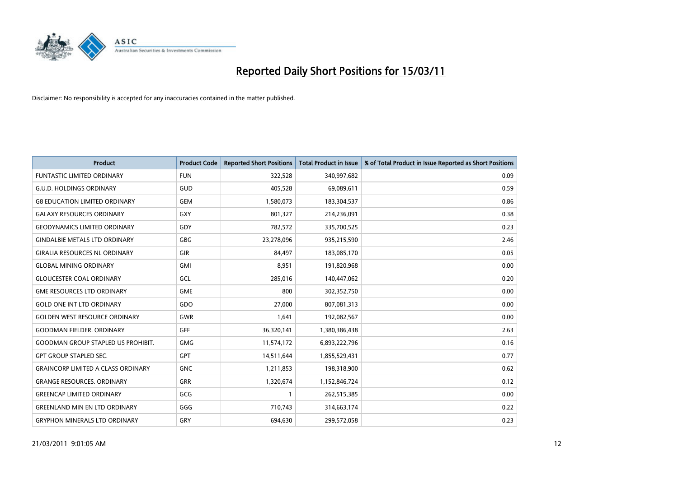

| <b>Product</b>                            | <b>Product Code</b> | <b>Reported Short Positions</b> | Total Product in Issue | % of Total Product in Issue Reported as Short Positions |
|-------------------------------------------|---------------------|---------------------------------|------------------------|---------------------------------------------------------|
| <b>FUNTASTIC LIMITED ORDINARY</b>         | <b>FUN</b>          | 322,528                         | 340,997,682            | 0.09                                                    |
| <b>G.U.D. HOLDINGS ORDINARY</b>           | GUD                 | 405,528                         | 69,089,611             | 0.59                                                    |
| <b>G8 EDUCATION LIMITED ORDINARY</b>      | <b>GEM</b>          | 1,580,073                       | 183,304,537            | 0.86                                                    |
| <b>GALAXY RESOURCES ORDINARY</b>          | <b>GXY</b>          | 801,327                         | 214,236,091            | 0.38                                                    |
| <b>GEODYNAMICS LIMITED ORDINARY</b>       | GDY                 | 782,572                         | 335,700,525            | 0.23                                                    |
| <b>GINDALBIE METALS LTD ORDINARY</b>      | <b>GBG</b>          | 23,278,096                      | 935,215,590            | 2.46                                                    |
| <b>GIRALIA RESOURCES NL ORDINARY</b>      | GIR                 | 84,497                          | 183,085,170            | 0.05                                                    |
| <b>GLOBAL MINING ORDINARY</b>             | <b>GMI</b>          | 8,951                           | 191,820,968            | 0.00                                                    |
| <b>GLOUCESTER COAL ORDINARY</b>           | GCL                 | 285,016                         | 140,447,062            | 0.20                                                    |
| <b>GME RESOURCES LTD ORDINARY</b>         | <b>GME</b>          | 800                             | 302,352,750            | 0.00                                                    |
| <b>GOLD ONE INT LTD ORDINARY</b>          | <b>GDO</b>          | 27,000                          | 807,081,313            | 0.00                                                    |
| <b>GOLDEN WEST RESOURCE ORDINARY</b>      | <b>GWR</b>          | 1,641                           | 192,082,567            | 0.00                                                    |
| <b>GOODMAN FIELDER, ORDINARY</b>          | <b>GFF</b>          | 36,320,141                      | 1,380,386,438          | 2.63                                                    |
| <b>GOODMAN GROUP STAPLED US PROHIBIT.</b> | <b>GMG</b>          | 11,574,172                      | 6,893,222,796          | 0.16                                                    |
| <b>GPT GROUP STAPLED SEC.</b>             | GPT                 | 14,511,644                      | 1,855,529,431          | 0.77                                                    |
| <b>GRAINCORP LIMITED A CLASS ORDINARY</b> | <b>GNC</b>          | 1,211,853                       | 198,318,900            | 0.62                                                    |
| <b>GRANGE RESOURCES. ORDINARY</b>         | GRR                 | 1,320,674                       | 1,152,846,724          | 0.12                                                    |
| <b>GREENCAP LIMITED ORDINARY</b>          | GCG                 |                                 | 262,515,385            | 0.00                                                    |
| <b>GREENLAND MIN EN LTD ORDINARY</b>      | GGG                 | 710,743                         | 314,663,174            | 0.22                                                    |
| <b>GRYPHON MINERALS LTD ORDINARY</b>      | GRY                 | 694,630                         | 299,572,058            | 0.23                                                    |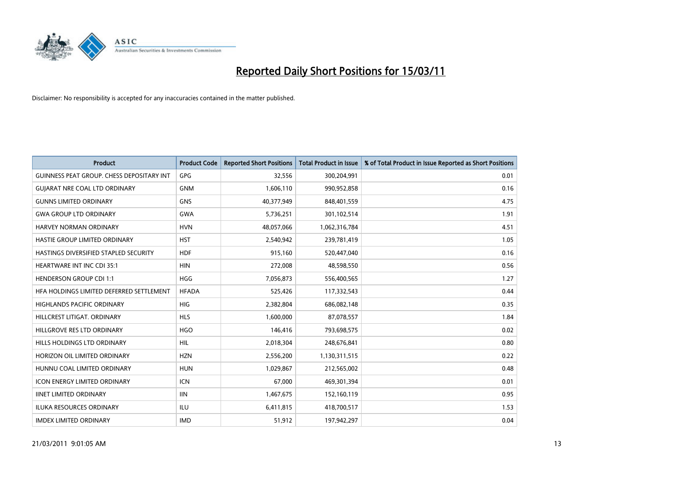

| Product                                          | <b>Product Code</b> | <b>Reported Short Positions</b> | <b>Total Product in Issue</b> | % of Total Product in Issue Reported as Short Positions |
|--------------------------------------------------|---------------------|---------------------------------|-------------------------------|---------------------------------------------------------|
| <b>GUINNESS PEAT GROUP. CHESS DEPOSITARY INT</b> | GPG                 | 32,556                          | 300,204,991                   | 0.01                                                    |
| <b>GUIARAT NRE COAL LTD ORDINARY</b>             | <b>GNM</b>          | 1,606,110                       | 990,952,858                   | 0.16                                                    |
| <b>GUNNS LIMITED ORDINARY</b>                    | <b>GNS</b>          | 40,377,949                      | 848,401,559                   | 4.75                                                    |
| <b>GWA GROUP LTD ORDINARY</b>                    | <b>GWA</b>          | 5,736,251                       | 301,102,514                   | 1.91                                                    |
| <b>HARVEY NORMAN ORDINARY</b>                    | <b>HVN</b>          | 48,057,066                      | 1,062,316,784                 | 4.51                                                    |
| HASTIE GROUP LIMITED ORDINARY                    | <b>HST</b>          | 2,540,942                       | 239,781,419                   | 1.05                                                    |
| HASTINGS DIVERSIFIED STAPLED SECURITY            | <b>HDF</b>          | 915,160                         | 520,447,040                   | 0.16                                                    |
| <b>HEARTWARE INT INC CDI 35:1</b>                | <b>HIN</b>          | 272,008                         | 48,598,550                    | 0.56                                                    |
| <b>HENDERSON GROUP CDI 1:1</b>                   | <b>HGG</b>          | 7,056,873                       | 556,400,565                   | 1.27                                                    |
| HFA HOLDINGS LIMITED DEFERRED SETTLEMENT         | <b>HFADA</b>        | 525,426                         | 117,332,543                   | 0.44                                                    |
| HIGHLANDS PACIFIC ORDINARY                       | <b>HIG</b>          | 2,382,804                       | 686,082,148                   | 0.35                                                    |
| HILLCREST LITIGAT, ORDINARY                      | <b>HLS</b>          | 1,600,000                       | 87,078,557                    | 1.84                                                    |
| HILLGROVE RES LTD ORDINARY                       | <b>HGO</b>          | 146,416                         | 793,698,575                   | 0.02                                                    |
| HILLS HOLDINGS LTD ORDINARY                      | <b>HIL</b>          | 2,018,304                       | 248,676,841                   | 0.80                                                    |
| HORIZON OIL LIMITED ORDINARY                     | <b>HZN</b>          | 2,556,200                       | 1,130,311,515                 | 0.22                                                    |
| HUNNU COAL LIMITED ORDINARY                      | <b>HUN</b>          | 1,029,867                       | 212,565,002                   | 0.48                                                    |
| <b>ICON ENERGY LIMITED ORDINARY</b>              | <b>ICN</b>          | 67,000                          | 469,301,394                   | 0.01                                                    |
| <b>IINET LIMITED ORDINARY</b>                    | <b>IIN</b>          | 1,467,675                       | 152,160,119                   | 0.95                                                    |
| <b>ILUKA RESOURCES ORDINARY</b>                  | ILU                 | 6,411,815                       | 418,700,517                   | 1.53                                                    |
| <b>IMDEX LIMITED ORDINARY</b>                    | <b>IMD</b>          | 51,912                          | 197,942,297                   | 0.04                                                    |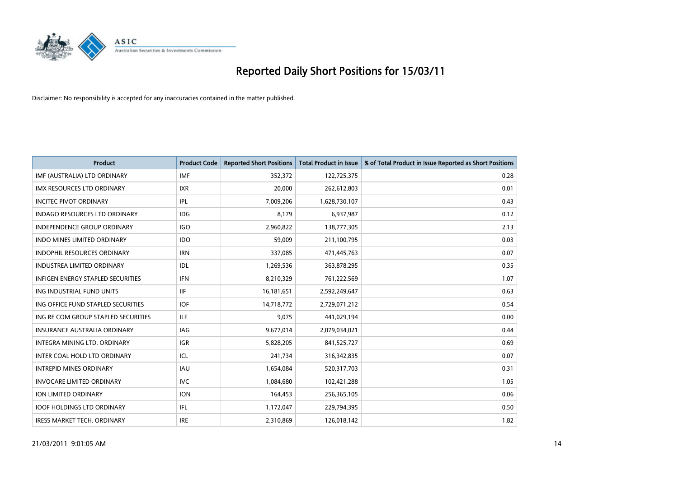

| Product                             | <b>Product Code</b> | <b>Reported Short Positions</b> | <b>Total Product in Issue</b> | % of Total Product in Issue Reported as Short Positions |
|-------------------------------------|---------------------|---------------------------------|-------------------------------|---------------------------------------------------------|
| IMF (AUSTRALIA) LTD ORDINARY        | <b>IMF</b>          | 352,372                         | 122,725,375                   | 0.28                                                    |
| IMX RESOURCES LTD ORDINARY          | <b>IXR</b>          | 20,000                          | 262,612,803                   | 0.01                                                    |
| <b>INCITEC PIVOT ORDINARY</b>       | IPL                 | 7,009,206                       | 1,628,730,107                 | 0.43                                                    |
| INDAGO RESOURCES LTD ORDINARY       | IDG                 | 8,179                           | 6,937,987                     | 0.12                                                    |
| <b>INDEPENDENCE GROUP ORDINARY</b>  | <b>IGO</b>          | 2,960,822                       | 138,777,305                   | 2.13                                                    |
| <b>INDO MINES LIMITED ORDINARY</b>  | <b>IDO</b>          | 59,009                          | 211,100,795                   | 0.03                                                    |
| <b>INDOPHIL RESOURCES ORDINARY</b>  | <b>IRN</b>          | 337,085                         | 471,445,763                   | 0.07                                                    |
| <b>INDUSTREA LIMITED ORDINARY</b>   | IDL                 | 1,269,536                       | 363,878,295                   | 0.35                                                    |
| INFIGEN ENERGY STAPLED SECURITIES   | <b>IFN</b>          | 8,210,329                       | 761,222,569                   | 1.07                                                    |
| ING INDUSTRIAL FUND UNITS           | <b>IIF</b>          | 16,181,651                      | 2,592,249,647                 | 0.63                                                    |
| ING OFFICE FUND STAPLED SECURITIES  | <b>IOF</b>          | 14,718,772                      | 2,729,071,212                 | 0.54                                                    |
| ING RE COM GROUP STAPLED SECURITIES | ILF.                | 9,075                           | 441,029,194                   | 0.00                                                    |
| <b>INSURANCE AUSTRALIA ORDINARY</b> | IAG                 | 9,677,014                       | 2,079,034,021                 | 0.44                                                    |
| <b>INTEGRA MINING LTD, ORDINARY</b> | <b>IGR</b>          | 5,828,205                       | 841,525,727                   | 0.69                                                    |
| INTER COAL HOLD LTD ORDINARY        | ICL                 | 241,734                         | 316, 342, 835                 | 0.07                                                    |
| <b>INTREPID MINES ORDINARY</b>      | <b>IAU</b>          | 1,654,084                       | 520,317,703                   | 0.31                                                    |
| <b>INVOCARE LIMITED ORDINARY</b>    | <b>IVC</b>          | 1,084,680                       | 102,421,288                   | 1.05                                                    |
| ION LIMITED ORDINARY                | <b>ION</b>          | 164,453                         | 256,365,105                   | 0.06                                                    |
| <b>IOOF HOLDINGS LTD ORDINARY</b>   | IFL.                | 1,172,047                       | 229,794,395                   | 0.50                                                    |
| IRESS MARKET TECH. ORDINARY         | <b>IRE</b>          | 2,310,869                       | 126,018,142                   | 1.82                                                    |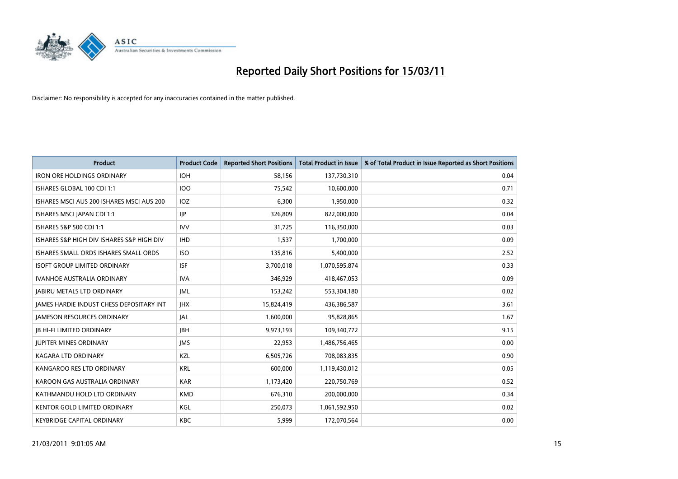

| <b>Product</b>                            | <b>Product Code</b> | <b>Reported Short Positions</b> | Total Product in Issue | % of Total Product in Issue Reported as Short Positions |
|-------------------------------------------|---------------------|---------------------------------|------------------------|---------------------------------------------------------|
| <b>IRON ORE HOLDINGS ORDINARY</b>         | <b>IOH</b>          | 58,156                          | 137,730,310            | 0.04                                                    |
| ISHARES GLOBAL 100 CDI 1:1                | <b>IOO</b>          | 75,542                          | 10,600,000             | 0.71                                                    |
| ISHARES MSCI AUS 200 ISHARES MSCI AUS 200 | IOZ                 | 6,300                           | 1,950,000              | 0.32                                                    |
| ISHARES MSCI JAPAN CDI 1:1                | IIP                 | 326,809                         | 822,000,000            | 0.04                                                    |
| ISHARES S&P 500 CDI 1:1                   | <b>IVV</b>          | 31,725                          | 116,350,000            | 0.03                                                    |
| ISHARES S&P HIGH DIV ISHARES S&P HIGH DIV | <b>IHD</b>          | 1,537                           | 1,700,000              | 0.09                                                    |
| ISHARES SMALL ORDS ISHARES SMALL ORDS     | <b>ISO</b>          | 135,816                         | 5,400,000              | 2.52                                                    |
| <b>ISOFT GROUP LIMITED ORDINARY</b>       | <b>ISF</b>          | 3,700,018                       | 1,070,595,874          | 0.33                                                    |
| IVANHOE AUSTRALIA ORDINARY                | <b>IVA</b>          | 346,929                         | 418,467,053            | 0.09                                                    |
| <b>JABIRU METALS LTD ORDINARY</b>         | IML                 | 153,242                         | 553,304,180            | 0.02                                                    |
| JAMES HARDIE INDUST CHESS DEPOSITARY INT  | <b>IHX</b>          | 15,824,419                      | 436,386,587            | 3.61                                                    |
| <b>JAMESON RESOURCES ORDINARY</b>         | <b>JAL</b>          | 1,600,000                       | 95,828,865             | 1.67                                                    |
| <b>JB HI-FI LIMITED ORDINARY</b>          | <b>IBH</b>          | 9,973,193                       | 109,340,772            | 9.15                                                    |
| <b>IUPITER MINES ORDINARY</b>             | <b>IMS</b>          | 22,953                          | 1,486,756,465          | 0.00                                                    |
| <b>KAGARA LTD ORDINARY</b>                | KZL                 | 6,505,726                       | 708,083,835            | 0.90                                                    |
| KANGAROO RES LTD ORDINARY                 | <b>KRL</b>          | 600,000                         | 1,119,430,012          | 0.05                                                    |
| KAROON GAS AUSTRALIA ORDINARY             | <b>KAR</b>          | 1,173,420                       | 220,750,769            | 0.52                                                    |
| KATHMANDU HOLD LTD ORDINARY               | <b>KMD</b>          | 676,310                         | 200,000,000            | 0.34                                                    |
| <b>KENTOR GOLD LIMITED ORDINARY</b>       | KGL                 | 250,073                         | 1,061,592,950          | 0.02                                                    |
| <b>KEYBRIDGE CAPITAL ORDINARY</b>         | <b>KBC</b>          | 5,999                           | 172,070,564            | 0.00                                                    |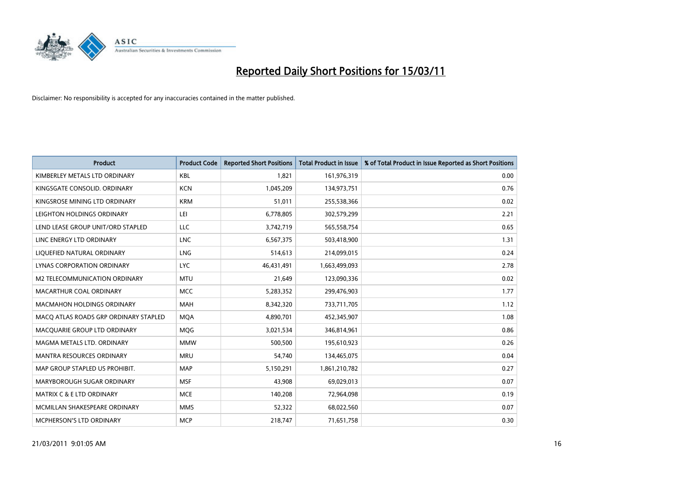

| <b>Product</b>                        | <b>Product Code</b> | <b>Reported Short Positions</b> | <b>Total Product in Issue</b> | % of Total Product in Issue Reported as Short Positions |
|---------------------------------------|---------------------|---------------------------------|-------------------------------|---------------------------------------------------------|
| KIMBERLEY METALS LTD ORDINARY         | KBL                 | 1,821                           | 161,976,319                   | 0.00                                                    |
| KINGSGATE CONSOLID. ORDINARY          | <b>KCN</b>          | 1,045,209                       | 134,973,751                   | 0.76                                                    |
| KINGSROSE MINING LTD ORDINARY         | <b>KRM</b>          | 51,011                          | 255,538,366                   | 0.02                                                    |
| LEIGHTON HOLDINGS ORDINARY            | LEI                 | 6,778,805                       | 302,579,299                   | 2.21                                                    |
| LEND LEASE GROUP UNIT/ORD STAPLED     | <b>LLC</b>          | 3,742,719                       | 565,558,754                   | 0.65                                                    |
| LINC ENERGY LTD ORDINARY              | <b>LNC</b>          | 6,567,375                       | 503,418,900                   | 1.31                                                    |
| LIQUEFIED NATURAL ORDINARY            | <b>LNG</b>          | 514,613                         | 214,099,015                   | 0.24                                                    |
| LYNAS CORPORATION ORDINARY            | <b>LYC</b>          | 46,431,491                      | 1,663,499,093                 | 2.78                                                    |
| M2 TELECOMMUNICATION ORDINARY         | <b>MTU</b>          | 21,649                          | 123,090,336                   | 0.02                                                    |
| MACARTHUR COAL ORDINARY               | <b>MCC</b>          | 5,283,352                       | 299,476,903                   | 1.77                                                    |
| <b>MACMAHON HOLDINGS ORDINARY</b>     | <b>MAH</b>          | 8,342,320                       | 733,711,705                   | 1.12                                                    |
| MACQ ATLAS ROADS GRP ORDINARY STAPLED | <b>MOA</b>          | 4,890,701                       | 452,345,907                   | 1.08                                                    |
| MACQUARIE GROUP LTD ORDINARY          | MQG                 | 3,021,534                       | 346,814,961                   | 0.86                                                    |
| MAGMA METALS LTD. ORDINARY            | <b>MMW</b>          | 500,500                         | 195,610,923                   | 0.26                                                    |
| <b>MANTRA RESOURCES ORDINARY</b>      | <b>MRU</b>          | 54,740                          | 134,465,075                   | 0.04                                                    |
| MAP GROUP STAPLED US PROHIBIT.        | <b>MAP</b>          | 5,150,291                       | 1,861,210,782                 | 0.27                                                    |
| MARYBOROUGH SUGAR ORDINARY            | <b>MSF</b>          | 43,908                          | 69,029,013                    | 0.07                                                    |
| <b>MATRIX C &amp; E LTD ORDINARY</b>  | <b>MCE</b>          | 140,208                         | 72,964,098                    | 0.19                                                    |
| MCMILLAN SHAKESPEARE ORDINARY         | <b>MMS</b>          | 52,322                          | 68,022,560                    | 0.07                                                    |
| <b>MCPHERSON'S LTD ORDINARY</b>       | <b>MCP</b>          | 218,747                         | 71,651,758                    | 0.30                                                    |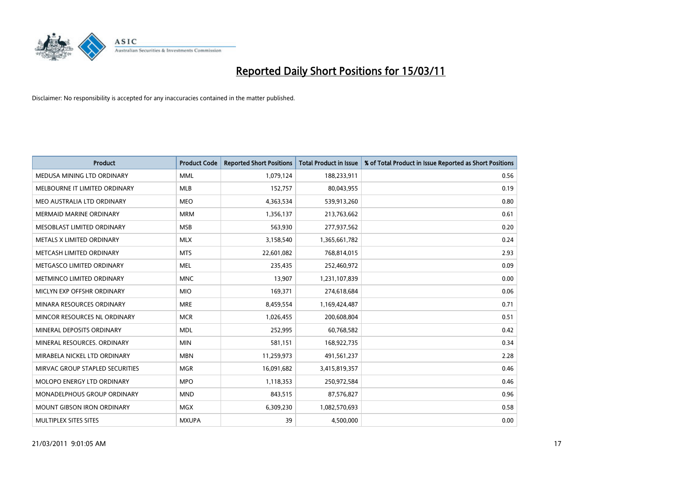

| <b>Product</b>                    | <b>Product Code</b> | <b>Reported Short Positions</b> | <b>Total Product in Issue</b> | % of Total Product in Issue Reported as Short Positions |
|-----------------------------------|---------------------|---------------------------------|-------------------------------|---------------------------------------------------------|
| MEDUSA MINING LTD ORDINARY        | <b>MML</b>          | 1,079,124                       | 188,233,911                   | 0.56                                                    |
| MELBOURNE IT LIMITED ORDINARY     | <b>MLB</b>          | 152,757                         | 80,043,955                    | 0.19                                                    |
| MEO AUSTRALIA LTD ORDINARY        | <b>MEO</b>          | 4,363,534                       | 539,913,260                   | 0.80                                                    |
| MERMAID MARINE ORDINARY           | <b>MRM</b>          | 1,356,137                       | 213,763,662                   | 0.61                                                    |
| MESOBLAST LIMITED ORDINARY        | <b>MSB</b>          | 563,930                         | 277,937,562                   | 0.20                                                    |
| METALS X LIMITED ORDINARY         | <b>MLX</b>          | 3,158,540                       | 1,365,661,782                 | 0.24                                                    |
| METCASH LIMITED ORDINARY          | <b>MTS</b>          | 22,601,082                      | 768,814,015                   | 2.93                                                    |
| METGASCO LIMITED ORDINARY         | <b>MEL</b>          | 235,435                         | 252,460,972                   | 0.09                                                    |
| METMINCO LIMITED ORDINARY         | <b>MNC</b>          | 13,907                          | 1,231,107,839                 | 0.00                                                    |
| MICLYN EXP OFFSHR ORDINARY        | <b>MIO</b>          | 169,371                         | 274,618,684                   | 0.06                                                    |
| MINARA RESOURCES ORDINARY         | <b>MRE</b>          | 8,459,554                       | 1,169,424,487                 | 0.71                                                    |
| MINCOR RESOURCES NL ORDINARY      | <b>MCR</b>          | 1,026,455                       | 200,608,804                   | 0.51                                                    |
| MINERAL DEPOSITS ORDINARY         | <b>MDL</b>          | 252,995                         | 60,768,582                    | 0.42                                                    |
| MINERAL RESOURCES, ORDINARY       | <b>MIN</b>          | 581,151                         | 168,922,735                   | 0.34                                                    |
| MIRABELA NICKEL LTD ORDINARY      | <b>MBN</b>          | 11,259,973                      | 491,561,237                   | 2.28                                                    |
| MIRVAC GROUP STAPLED SECURITIES   | <b>MGR</b>          | 16,091,682                      | 3,415,819,357                 | 0.46                                                    |
| MOLOPO ENERGY LTD ORDINARY        | <b>MPO</b>          | 1,118,353                       | 250,972,584                   | 0.46                                                    |
| MONADELPHOUS GROUP ORDINARY       | <b>MND</b>          | 843,515                         | 87,576,827                    | 0.96                                                    |
| <b>MOUNT GIBSON IRON ORDINARY</b> | <b>MGX</b>          | 6,309,230                       | 1,082,570,693                 | 0.58                                                    |
| MULTIPLEX SITES SITES             | <b>MXUPA</b>        | 39                              | 4,500,000                     | 0.00                                                    |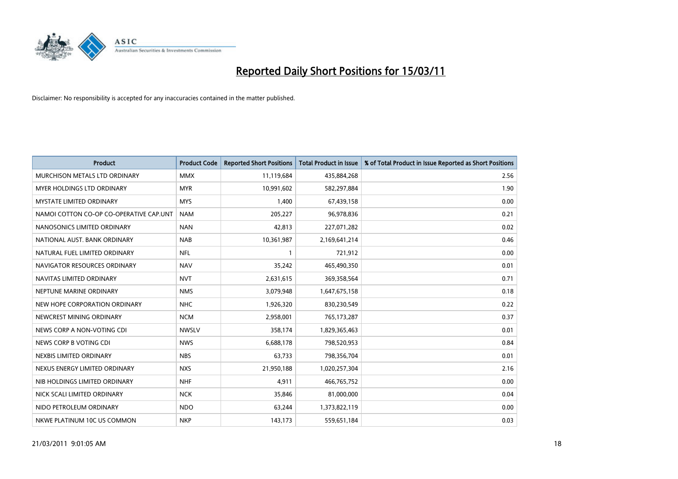

| Product                                 | <b>Product Code</b> | <b>Reported Short Positions</b> | <b>Total Product in Issue</b> | % of Total Product in Issue Reported as Short Positions |
|-----------------------------------------|---------------------|---------------------------------|-------------------------------|---------------------------------------------------------|
| MURCHISON METALS LTD ORDINARY           | <b>MMX</b>          | 11,119,684                      | 435,884,268                   | 2.56                                                    |
| <b>MYER HOLDINGS LTD ORDINARY</b>       | <b>MYR</b>          | 10,991,602                      | 582,297,884                   | 1.90                                                    |
| <b>MYSTATE LIMITED ORDINARY</b>         | <b>MYS</b>          | 1,400                           | 67,439,158                    | 0.00                                                    |
| NAMOI COTTON CO-OP CO-OPERATIVE CAP.UNT | <b>NAM</b>          | 205,227                         | 96,978,836                    | 0.21                                                    |
| NANOSONICS LIMITED ORDINARY             | <b>NAN</b>          | 42,813                          | 227,071,282                   | 0.02                                                    |
| NATIONAL AUST. BANK ORDINARY            | <b>NAB</b>          | 10,361,987                      | 2,169,641,214                 | 0.46                                                    |
| NATURAL FUEL LIMITED ORDINARY           | <b>NFL</b>          |                                 | 721,912                       | 0.00                                                    |
| NAVIGATOR RESOURCES ORDINARY            | <b>NAV</b>          | 35,242                          | 465,490,350                   | 0.01                                                    |
| NAVITAS LIMITED ORDINARY                | <b>NVT</b>          | 2,631,615                       | 369,358,564                   | 0.71                                                    |
| NEPTUNE MARINE ORDINARY                 | <b>NMS</b>          | 3,079,948                       | 1,647,675,158                 | 0.18                                                    |
| NEW HOPE CORPORATION ORDINARY           | <b>NHC</b>          | 1,926,320                       | 830,230,549                   | 0.22                                                    |
| NEWCREST MINING ORDINARY                | <b>NCM</b>          | 2,958,001                       | 765,173,287                   | 0.37                                                    |
| NEWS CORP A NON-VOTING CDI              | <b>NWSLV</b>        | 358,174                         | 1,829,365,463                 | 0.01                                                    |
| NEWS CORP B VOTING CDI                  | <b>NWS</b>          | 6,688,178                       | 798,520,953                   | 0.84                                                    |
| NEXBIS LIMITED ORDINARY                 | <b>NBS</b>          | 63,733                          | 798,356,704                   | 0.01                                                    |
| NEXUS ENERGY LIMITED ORDINARY           | <b>NXS</b>          | 21,950,188                      | 1,020,257,304                 | 2.16                                                    |
| NIB HOLDINGS LIMITED ORDINARY           | <b>NHF</b>          | 4,911                           | 466,765,752                   | 0.00                                                    |
| NICK SCALI LIMITED ORDINARY             | <b>NCK</b>          | 35,846                          | 81,000,000                    | 0.04                                                    |
| NIDO PETROLEUM ORDINARY                 | <b>NDO</b>          | 63,244                          | 1,373,822,119                 | 0.00                                                    |
| NKWE PLATINUM 10C US COMMON             | <b>NKP</b>          | 143,173                         | 559,651,184                   | 0.03                                                    |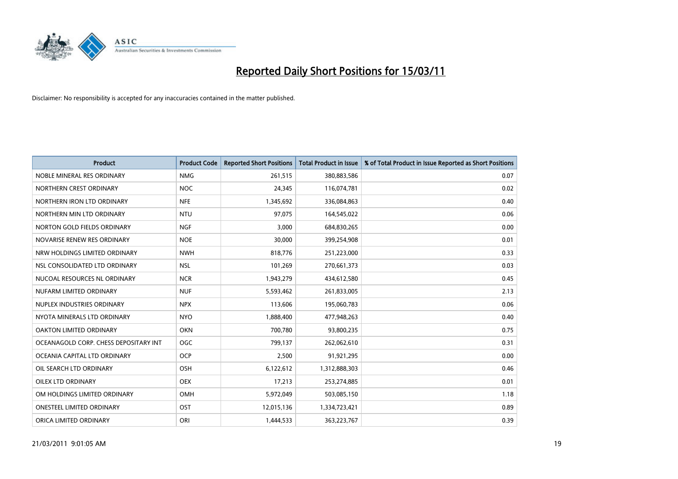

| <b>Product</b>                        | <b>Product Code</b> | <b>Reported Short Positions</b> | Total Product in Issue | % of Total Product in Issue Reported as Short Positions |
|---------------------------------------|---------------------|---------------------------------|------------------------|---------------------------------------------------------|
| NOBLE MINERAL RES ORDINARY            | <b>NMG</b>          | 261,515                         | 380,883,586            | 0.07                                                    |
| NORTHERN CREST ORDINARY               | <b>NOC</b>          | 24.345                          | 116,074,781            | 0.02                                                    |
| NORTHERN IRON LTD ORDINARY            | <b>NFE</b>          | 1,345,692                       | 336,084,863            | 0.40                                                    |
| NORTHERN MIN LTD ORDINARY             | <b>NTU</b>          | 97,075                          | 164,545,022            | 0.06                                                    |
| NORTON GOLD FIELDS ORDINARY           | <b>NGF</b>          | 3,000                           | 684,830,265            | 0.00                                                    |
| NOVARISE RENEW RES ORDINARY           | <b>NOE</b>          | 30,000                          | 399,254,908            | 0.01                                                    |
| NRW HOLDINGS LIMITED ORDINARY         | <b>NWH</b>          | 818,776                         | 251,223,000            | 0.33                                                    |
| NSL CONSOLIDATED LTD ORDINARY         | <b>NSL</b>          | 101,269                         | 270,661,373            | 0.03                                                    |
| NUCOAL RESOURCES NL ORDINARY          | <b>NCR</b>          | 1,943,279                       | 434,612,580            | 0.45                                                    |
| NUFARM LIMITED ORDINARY               | <b>NUF</b>          | 5,593,462                       | 261,833,005            | 2.13                                                    |
| NUPLEX INDUSTRIES ORDINARY            | <b>NPX</b>          | 113,606                         | 195,060,783            | 0.06                                                    |
| NYOTA MINERALS LTD ORDINARY           | <b>NYO</b>          | 1,888,400                       | 477,948,263            | 0.40                                                    |
| OAKTON LIMITED ORDINARY               | <b>OKN</b>          | 700,780                         | 93,800,235             | 0.75                                                    |
| OCEANAGOLD CORP. CHESS DEPOSITARY INT | OGC                 | 799.137                         | 262,062,610            | 0.31                                                    |
| OCEANIA CAPITAL LTD ORDINARY          | <b>OCP</b>          | 2,500                           | 91,921,295             | 0.00                                                    |
| OIL SEARCH LTD ORDINARY               | <b>OSH</b>          | 6,122,612                       | 1,312,888,303          | 0.46                                                    |
| <b>OILEX LTD ORDINARY</b>             | <b>OEX</b>          | 17,213                          | 253,274,885            | 0.01                                                    |
| OM HOLDINGS LIMITED ORDINARY          | OMH                 | 5,972,049                       | 503,085,150            | 1.18                                                    |
| <b>ONESTEEL LIMITED ORDINARY</b>      | OST                 | 12,015,136                      | 1,334,723,421          | 0.89                                                    |
| ORICA LIMITED ORDINARY                | ORI                 | 1.444.533                       | 363,223,767            | 0.39                                                    |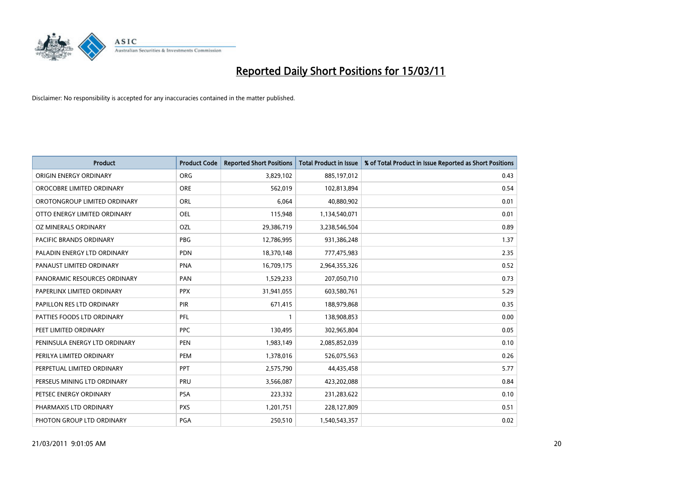

| Product                        | <b>Product Code</b> | <b>Reported Short Positions</b> | <b>Total Product in Issue</b> | % of Total Product in Issue Reported as Short Positions |
|--------------------------------|---------------------|---------------------------------|-------------------------------|---------------------------------------------------------|
| ORIGIN ENERGY ORDINARY         | <b>ORG</b>          | 3,829,102                       | 885,197,012                   | 0.43                                                    |
| OROCOBRE LIMITED ORDINARY      | <b>ORE</b>          | 562,019                         | 102,813,894                   | 0.54                                                    |
| OROTONGROUP LIMITED ORDINARY   | <b>ORL</b>          | 6,064                           | 40,880,902                    | 0.01                                                    |
| OTTO ENERGY LIMITED ORDINARY   | <b>OEL</b>          | 115,948                         | 1,134,540,071                 | 0.01                                                    |
| OZ MINERALS ORDINARY           | OZL                 | 29,386,719                      | 3,238,546,504                 | 0.89                                                    |
| <b>PACIFIC BRANDS ORDINARY</b> | <b>PBG</b>          | 12,786,995                      | 931,386,248                   | 1.37                                                    |
| PALADIN ENERGY LTD ORDINARY    | <b>PDN</b>          | 18,370,148                      | 777,475,983                   | 2.35                                                    |
| PANAUST LIMITED ORDINARY       | <b>PNA</b>          | 16,709,175                      | 2,964,355,326                 | 0.52                                                    |
| PANORAMIC RESOURCES ORDINARY   | PAN                 | 1,529,233                       | 207,050,710                   | 0.73                                                    |
| PAPERLINX LIMITED ORDINARY     | <b>PPX</b>          | 31,941,055                      | 603,580,761                   | 5.29                                                    |
| PAPILLON RES LTD ORDINARY      | PIR                 | 671,415                         | 188,979,868                   | 0.35                                                    |
| PATTIES FOODS LTD ORDINARY     | PFL                 |                                 | 138,908,853                   | 0.00                                                    |
| PEET LIMITED ORDINARY          | <b>PPC</b>          | 130,495                         | 302,965,804                   | 0.05                                                    |
| PENINSULA ENERGY LTD ORDINARY  | <b>PEN</b>          | 1,983,149                       | 2,085,852,039                 | 0.10                                                    |
| PERILYA LIMITED ORDINARY       | PEM                 | 1,378,016                       | 526,075,563                   | 0.26                                                    |
| PERPETUAL LIMITED ORDINARY     | PPT                 | 2,575,790                       | 44,435,458                    | 5.77                                                    |
| PERSEUS MINING LTD ORDINARY    | PRU                 | 3,566,087                       | 423,202,088                   | 0.84                                                    |
| PETSEC ENERGY ORDINARY         | PSA                 | 223,332                         | 231,283,622                   | 0.10                                                    |
| PHARMAXIS LTD ORDINARY         | <b>PXS</b>          | 1,201,751                       | 228,127,809                   | 0.51                                                    |
| PHOTON GROUP LTD ORDINARY      | PGA                 | 250,510                         | 1,540,543,357                 | 0.02                                                    |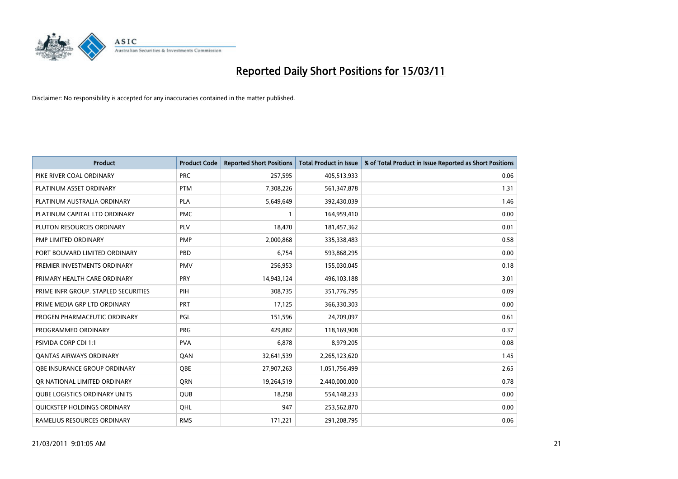

| Product                              | <b>Product Code</b> | <b>Reported Short Positions</b> | <b>Total Product in Issue</b> | % of Total Product in Issue Reported as Short Positions |
|--------------------------------------|---------------------|---------------------------------|-------------------------------|---------------------------------------------------------|
| PIKE RIVER COAL ORDINARY             | <b>PRC</b>          | 257,595                         | 405,513,933                   | 0.06                                                    |
| PLATINUM ASSET ORDINARY              | <b>PTM</b>          | 7,308,226                       | 561,347,878                   | 1.31                                                    |
| PLATINUM AUSTRALIA ORDINARY          | <b>PLA</b>          | 5,649,649                       | 392,430,039                   | 1.46                                                    |
| PLATINUM CAPITAL LTD ORDINARY        | <b>PMC</b>          |                                 | 164,959,410                   | 0.00                                                    |
| PLUTON RESOURCES ORDINARY            | <b>PLV</b>          | 18,470                          | 181,457,362                   | 0.01                                                    |
| PMP LIMITED ORDINARY                 | PMP                 | 2,000,868                       | 335,338,483                   | 0.58                                                    |
| PORT BOUVARD LIMITED ORDINARY        | PBD                 | 6,754                           | 593,868,295                   | 0.00                                                    |
| PREMIER INVESTMENTS ORDINARY         | <b>PMV</b>          | 256,953                         | 155,030,045                   | 0.18                                                    |
| PRIMARY HEALTH CARE ORDINARY         | <b>PRY</b>          | 14,943,124                      | 496,103,188                   | 3.01                                                    |
| PRIME INFR GROUP. STAPLED SECURITIES | PIH                 | 308,735                         | 351,776,795                   | 0.09                                                    |
| PRIME MEDIA GRP LTD ORDINARY         | <b>PRT</b>          | 17,125                          | 366,330,303                   | 0.00                                                    |
| PROGEN PHARMACEUTIC ORDINARY         | PGL                 | 151,596                         | 24,709,097                    | 0.61                                                    |
| PROGRAMMED ORDINARY                  | <b>PRG</b>          | 429,882                         | 118,169,908                   | 0.37                                                    |
| <b>PSIVIDA CORP CDI 1:1</b>          | <b>PVA</b>          | 6,878                           | 8,979,205                     | 0.08                                                    |
| <b>QANTAS AIRWAYS ORDINARY</b>       | QAN                 | 32,641,539                      | 2,265,123,620                 | 1.45                                                    |
| OBE INSURANCE GROUP ORDINARY         | <b>OBE</b>          | 27,907,263                      | 1,051,756,499                 | 2.65                                                    |
| OR NATIONAL LIMITED ORDINARY         | <b>ORN</b>          | 19,264,519                      | 2,440,000,000                 | 0.78                                                    |
| <b>QUBE LOGISTICS ORDINARY UNITS</b> | <b>QUB</b>          | 18,258                          | 554,148,233                   | 0.00                                                    |
| QUICKSTEP HOLDINGS ORDINARY          | OHL                 | 947                             | 253,562,870                   | 0.00                                                    |
| RAMELIUS RESOURCES ORDINARY          | <b>RMS</b>          | 171,221                         | 291,208,795                   | 0.06                                                    |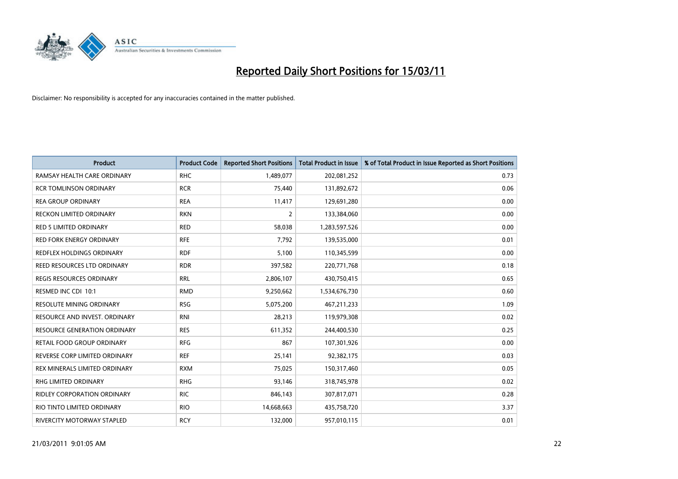

| <b>Product</b>                      | <b>Product Code</b> | <b>Reported Short Positions</b> | Total Product in Issue | % of Total Product in Issue Reported as Short Positions |
|-------------------------------------|---------------------|---------------------------------|------------------------|---------------------------------------------------------|
| RAMSAY HEALTH CARE ORDINARY         | <b>RHC</b>          | 1,489,077                       | 202,081,252            | 0.73                                                    |
| <b>RCR TOMLINSON ORDINARY</b>       | <b>RCR</b>          | 75,440                          | 131,892,672            | 0.06                                                    |
| <b>REA GROUP ORDINARY</b>           | <b>REA</b>          | 11,417                          | 129,691,280            | 0.00                                                    |
| RECKON LIMITED ORDINARY             | <b>RKN</b>          | $\overline{2}$                  | 133,384,060            | 0.00                                                    |
| <b>RED 5 LIMITED ORDINARY</b>       | <b>RED</b>          | 58,038                          | 1,283,597,526          | 0.00                                                    |
| <b>RED FORK ENERGY ORDINARY</b>     | <b>RFE</b>          | 7,792                           | 139,535,000            | 0.01                                                    |
| REDFLEX HOLDINGS ORDINARY           | <b>RDF</b>          | 5,100                           | 110,345,599            | 0.00                                                    |
| REED RESOURCES LTD ORDINARY         | <b>RDR</b>          | 397,582                         | 220,771,768            | 0.18                                                    |
| REGIS RESOURCES ORDINARY            | <b>RRL</b>          | 2,806,107                       | 430,750,415            | 0.65                                                    |
| RESMED INC CDI 10:1                 | <b>RMD</b>          | 9,250,662                       | 1,534,676,730          | 0.60                                                    |
| <b>RESOLUTE MINING ORDINARY</b>     | <b>RSG</b>          | 5,075,200                       | 467,211,233            | 1.09                                                    |
| RESOURCE AND INVEST. ORDINARY       | <b>RNI</b>          | 28,213                          | 119,979,308            | 0.02                                                    |
| <b>RESOURCE GENERATION ORDINARY</b> | <b>RES</b>          | 611,352                         | 244,400,530            | 0.25                                                    |
| RETAIL FOOD GROUP ORDINARY          | <b>RFG</b>          | 867                             | 107,301,926            | 0.00                                                    |
| REVERSE CORP LIMITED ORDINARY       | <b>REF</b>          | 25,141                          | 92,382,175             | 0.03                                                    |
| REX MINERALS LIMITED ORDINARY       | <b>RXM</b>          | 75,025                          | 150,317,460            | 0.05                                                    |
| <b>RHG LIMITED ORDINARY</b>         | <b>RHG</b>          | 93,146                          | 318,745,978            | 0.02                                                    |
| RIDLEY CORPORATION ORDINARY         | <b>RIC</b>          | 846,143                         | 307,817,071            | 0.28                                                    |
| RIO TINTO LIMITED ORDINARY          | <b>RIO</b>          | 14,668,663                      | 435,758,720            | 3.37                                                    |
| RIVERCITY MOTORWAY STAPLED          | <b>RCY</b>          | 132,000                         | 957,010,115            | 0.01                                                    |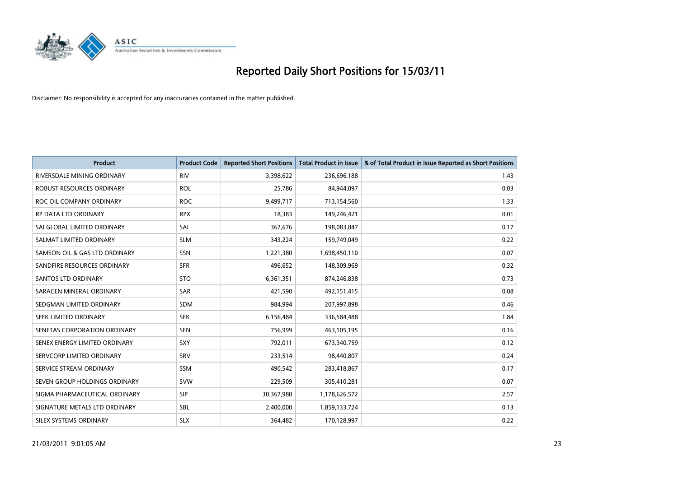

| Product                       | <b>Product Code</b> | <b>Reported Short Positions</b> | <b>Total Product in Issue</b> | % of Total Product in Issue Reported as Short Positions |
|-------------------------------|---------------------|---------------------------------|-------------------------------|---------------------------------------------------------|
| RIVERSDALE MINING ORDINARY    | <b>RIV</b>          | 3,398,622                       | 236,696,188                   | 1.43                                                    |
| ROBUST RESOURCES ORDINARY     | <b>ROL</b>          | 25,786                          | 84,944,097                    | 0.03                                                    |
| ROC OIL COMPANY ORDINARY      | <b>ROC</b>          | 9,499,717                       | 713,154,560                   | 1.33                                                    |
| RP DATA LTD ORDINARY          | <b>RPX</b>          | 18,383                          | 149,246,421                   | 0.01                                                    |
| SAI GLOBAL LIMITED ORDINARY   | SAI                 | 367,676                         | 198,083,847                   | 0.17                                                    |
| SALMAT LIMITED ORDINARY       | <b>SLM</b>          | 343,224                         | 159,749,049                   | 0.22                                                    |
| SAMSON OIL & GAS LTD ORDINARY | SSN                 | 1,221,380                       | 1,698,450,110                 | 0.07                                                    |
| SANDFIRE RESOURCES ORDINARY   | <b>SFR</b>          | 496,652                         | 148,309,969                   | 0.32                                                    |
| <b>SANTOS LTD ORDINARY</b>    | <b>STO</b>          | 6,361,351                       | 874,246,838                   | 0.73                                                    |
| SARACEN MINERAL ORDINARY      | <b>SAR</b>          | 421,590                         | 492,151,415                   | 0.08                                                    |
| SEDGMAN LIMITED ORDINARY      | <b>SDM</b>          | 984,994                         | 207,997,898                   | 0.46                                                    |
| SEEK LIMITED ORDINARY         | <b>SEK</b>          | 6,156,484                       | 336,584,488                   | 1.84                                                    |
| SENETAS CORPORATION ORDINARY  | <b>SEN</b>          | 756,999                         | 463,105,195                   | 0.16                                                    |
| SENEX ENERGY LIMITED ORDINARY | SXY                 | 792,011                         | 673,340,759                   | 0.12                                                    |
| SERVCORP LIMITED ORDINARY     | SRV                 | 233,514                         | 98,440,807                    | 0.24                                                    |
| SERVICE STREAM ORDINARY       | <b>SSM</b>          | 490,542                         | 283,418,867                   | 0.17                                                    |
| SEVEN GROUP HOLDINGS ORDINARY | <b>SVW</b>          | 229,509                         | 305,410,281                   | 0.07                                                    |
| SIGMA PHARMACEUTICAL ORDINARY | <b>SIP</b>          | 30,367,980                      | 1,178,626,572                 | 2.57                                                    |
| SIGNATURE METALS LTD ORDINARY | <b>SBL</b>          | 2,400,000                       | 1,859,133,724                 | 0.13                                                    |
| <b>SILEX SYSTEMS ORDINARY</b> | <b>SLX</b>          | 364,482                         | 170,128,997                   | 0.22                                                    |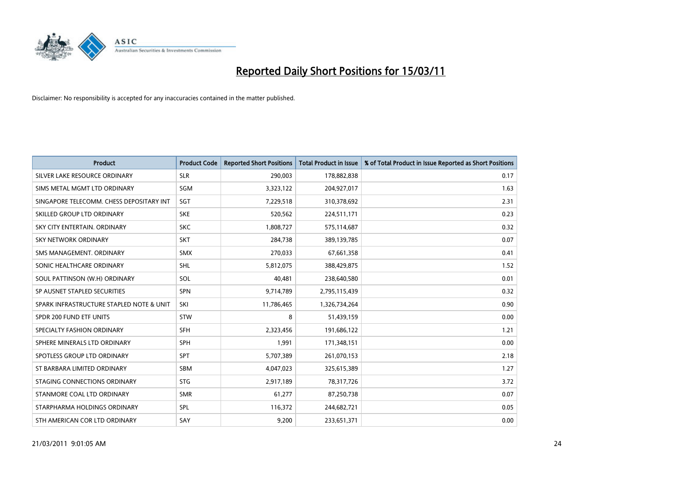

| <b>Product</b>                           | <b>Product Code</b> | <b>Reported Short Positions</b> | <b>Total Product in Issue</b> | % of Total Product in Issue Reported as Short Positions |
|------------------------------------------|---------------------|---------------------------------|-------------------------------|---------------------------------------------------------|
| SILVER LAKE RESOURCE ORDINARY            | <b>SLR</b>          | 290,003                         | 178,882,838                   | 0.17                                                    |
| SIMS METAL MGMT LTD ORDINARY             | SGM                 | 3,323,122                       | 204,927,017                   | 1.63                                                    |
| SINGAPORE TELECOMM. CHESS DEPOSITARY INT | SGT                 | 7,229,518                       | 310,378,692                   | 2.31                                                    |
| SKILLED GROUP LTD ORDINARY               | <b>SKE</b>          | 520,562                         | 224,511,171                   | 0.23                                                    |
| SKY CITY ENTERTAIN, ORDINARY             | <b>SKC</b>          | 1,808,727                       | 575,114,687                   | 0.32                                                    |
| <b>SKY NETWORK ORDINARY</b>              | <b>SKT</b>          | 284,738                         | 389,139,785                   | 0.07                                                    |
| SMS MANAGEMENT, ORDINARY                 | <b>SMX</b>          | 270,033                         | 67,661,358                    | 0.41                                                    |
| SONIC HEALTHCARE ORDINARY                | <b>SHL</b>          | 5,812,075                       | 388,429,875                   | 1.52                                                    |
| SOUL PATTINSON (W.H) ORDINARY            | SOL                 | 40,481                          | 238,640,580                   | 0.01                                                    |
| SP AUSNET STAPLED SECURITIES             | <b>SPN</b>          | 9,714,789                       | 2,795,115,439                 | 0.32                                                    |
| SPARK INFRASTRUCTURE STAPLED NOTE & UNIT | SKI                 | 11,786,465                      | 1,326,734,264                 | 0.90                                                    |
| SPDR 200 FUND ETF UNITS                  | <b>STW</b>          | 8                               | 51,439,159                    | 0.00                                                    |
| SPECIALTY FASHION ORDINARY               | <b>SFH</b>          | 2,323,456                       | 191,686,122                   | 1.21                                                    |
| SPHERE MINERALS LTD ORDINARY             | <b>SPH</b>          | 1,991                           | 171,348,151                   | 0.00                                                    |
| SPOTLESS GROUP LTD ORDINARY              | <b>SPT</b>          | 5,707,389                       | 261,070,153                   | 2.18                                                    |
| ST BARBARA LIMITED ORDINARY              | <b>SBM</b>          | 4,047,023                       | 325,615,389                   | 1.27                                                    |
| STAGING CONNECTIONS ORDINARY             | <b>STG</b>          | 2,917,189                       | 78,317,726                    | 3.72                                                    |
| STANMORE COAL LTD ORDINARY               | <b>SMR</b>          | 61,277                          | 87,250,738                    | 0.07                                                    |
| STARPHARMA HOLDINGS ORDINARY             | SPL                 | 116,372                         | 244,682,721                   | 0.05                                                    |
| STH AMERICAN COR LTD ORDINARY            | SAY                 | 9,200                           | 233,651,371                   | 0.00                                                    |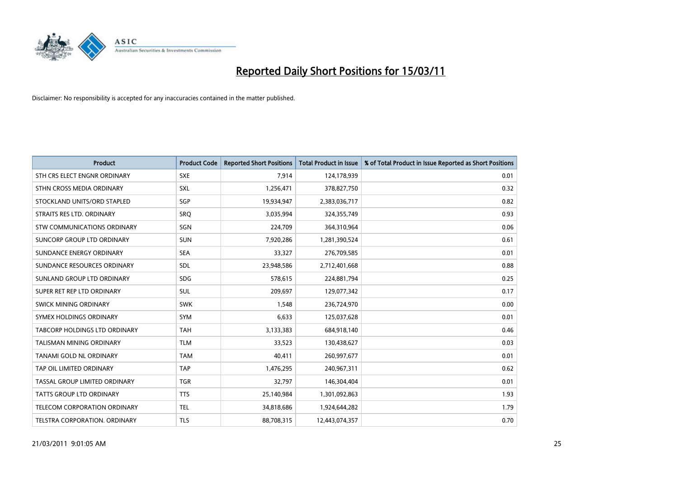

| <b>Product</b>                       | <b>Product Code</b> | <b>Reported Short Positions</b> | <b>Total Product in Issue</b> | % of Total Product in Issue Reported as Short Positions |
|--------------------------------------|---------------------|---------------------------------|-------------------------------|---------------------------------------------------------|
| STH CRS ELECT ENGNR ORDINARY         | <b>SXE</b>          | 7,914                           | 124,178,939                   | 0.01                                                    |
| STHN CROSS MEDIA ORDINARY            | SXL                 | 1,256,471                       | 378,827,750                   | 0.32                                                    |
| STOCKLAND UNITS/ORD STAPLED          | SGP                 | 19,934,947                      | 2,383,036,717                 | 0.82                                                    |
| STRAITS RES LTD. ORDINARY            | SRO                 | 3,035,994                       | 324,355,749                   | 0.93                                                    |
| <b>STW COMMUNICATIONS ORDINARY</b>   | SGN                 | 224,709                         | 364,310,964                   | 0.06                                                    |
| SUNCORP GROUP LTD ORDINARY           | <b>SUN</b>          | 7,920,286                       | 1,281,390,524                 | 0.61                                                    |
| SUNDANCE ENERGY ORDINARY             | <b>SEA</b>          | 33,327                          | 276,709,585                   | 0.01                                                    |
| SUNDANCE RESOURCES ORDINARY          | SDL                 | 23,948,586                      | 2,712,401,668                 | 0.88                                                    |
| SUNLAND GROUP LTD ORDINARY           | <b>SDG</b>          | 578,615                         | 224,881,794                   | 0.25                                                    |
| SUPER RET REP LTD ORDINARY           | SUL                 | 209,697                         | 129,077,342                   | 0.17                                                    |
| <b>SWICK MINING ORDINARY</b>         | <b>SWK</b>          | 1,548                           | 236,724,970                   | 0.00                                                    |
| SYMEX HOLDINGS ORDINARY              | <b>SYM</b>          | 6,633                           | 125,037,628                   | 0.01                                                    |
| <b>TABCORP HOLDINGS LTD ORDINARY</b> | <b>TAH</b>          | 3,133,383                       | 684,918,140                   | 0.46                                                    |
| <b>TALISMAN MINING ORDINARY</b>      | <b>TLM</b>          | 33,523                          | 130,438,627                   | 0.03                                                    |
| TANAMI GOLD NL ORDINARY              | <b>TAM</b>          | 40,411                          | 260,997,677                   | 0.01                                                    |
| TAP OIL LIMITED ORDINARY             | <b>TAP</b>          | 1,476,295                       | 240,967,311                   | 0.62                                                    |
| TASSAL GROUP LIMITED ORDINARY        | <b>TGR</b>          | 32,797                          | 146,304,404                   | 0.01                                                    |
| <b>TATTS GROUP LTD ORDINARY</b>      | <b>TTS</b>          | 25,140,984                      | 1,301,092,863                 | 1.93                                                    |
| TELECOM CORPORATION ORDINARY         | <b>TEL</b>          | 34,818,686                      | 1,924,644,282                 | 1.79                                                    |
| TELSTRA CORPORATION. ORDINARY        | <b>TLS</b>          | 88,708,315                      | 12,443,074,357                | 0.70                                                    |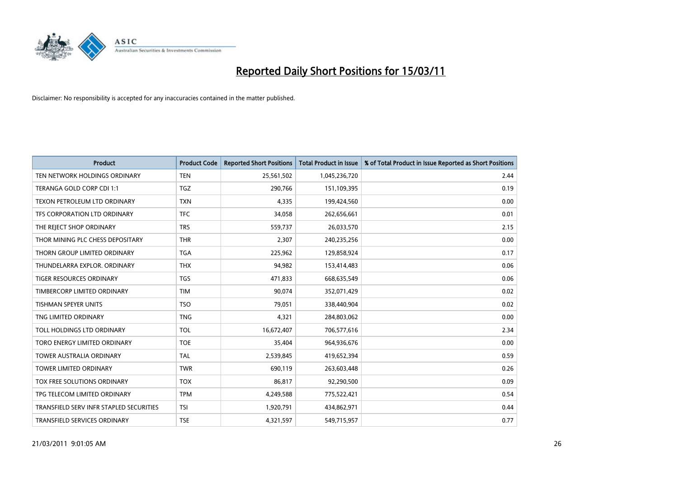

| <b>Product</b>                          | <b>Product Code</b> | <b>Reported Short Positions</b> | Total Product in Issue | % of Total Product in Issue Reported as Short Positions |
|-----------------------------------------|---------------------|---------------------------------|------------------------|---------------------------------------------------------|
| TEN NETWORK HOLDINGS ORDINARY           | <b>TEN</b>          | 25,561,502                      | 1,045,236,720          | 2.44                                                    |
| TERANGA GOLD CORP CDI 1:1               | <b>TGZ</b>          | 290.766                         | 151,109,395            | 0.19                                                    |
| TEXON PETROLEUM LTD ORDINARY            | <b>TXN</b>          | 4,335                           | 199,424,560            | 0.00                                                    |
| TFS CORPORATION LTD ORDINARY            | <b>TFC</b>          | 34,058                          | 262,656,661            | 0.01                                                    |
| THE REJECT SHOP ORDINARY                | <b>TRS</b>          | 559,737                         | 26,033,570             | 2.15                                                    |
| THOR MINING PLC CHESS DEPOSITARY        | <b>THR</b>          | 2,307                           | 240,235,256            | 0.00                                                    |
| THORN GROUP LIMITED ORDINARY            | <b>TGA</b>          | 225.962                         | 129,858,924            | 0.17                                                    |
| THUNDELARRA EXPLOR, ORDINARY            | <b>THX</b>          | 94,982                          | 153,414,483            | 0.06                                                    |
| TIGER RESOURCES ORDINARY                | <b>TGS</b>          | 471,833                         | 668,635,549            | 0.06                                                    |
| TIMBERCORP LIMITED ORDINARY             | <b>TIM</b>          | 90.074                          | 352,071,429            | 0.02                                                    |
| <b>TISHMAN SPEYER UNITS</b>             | <b>TSO</b>          | 79,051                          | 338,440,904            | 0.02                                                    |
| TNG LIMITED ORDINARY                    | <b>TNG</b>          | 4,321                           | 284,803,062            | 0.00                                                    |
| TOLL HOLDINGS LTD ORDINARY              | <b>TOL</b>          | 16,672,407                      | 706,577,616            | 2.34                                                    |
| TORO ENERGY LIMITED ORDINARY            | <b>TOE</b>          | 35,404                          | 964,936,676            | 0.00                                                    |
| <b>TOWER AUSTRALIA ORDINARY</b>         | <b>TAL</b>          | 2,539,845                       | 419,652,394            | 0.59                                                    |
| <b>TOWER LIMITED ORDINARY</b>           | <b>TWR</b>          | 690,119                         | 263,603,448            | 0.26                                                    |
| TOX FREE SOLUTIONS ORDINARY             | <b>TOX</b>          | 86,817                          | 92,290,500             | 0.09                                                    |
| TPG TELECOM LIMITED ORDINARY            | <b>TPM</b>          | 4,249,588                       | 775,522,421            | 0.54                                                    |
| TRANSFIELD SERV INFR STAPLED SECURITIES | <b>TSI</b>          | 1,920,791                       | 434,862,971            | 0.44                                                    |
| <b>TRANSFIELD SERVICES ORDINARY</b>     | <b>TSE</b>          | 4,321,597                       | 549,715,957            | 0.77                                                    |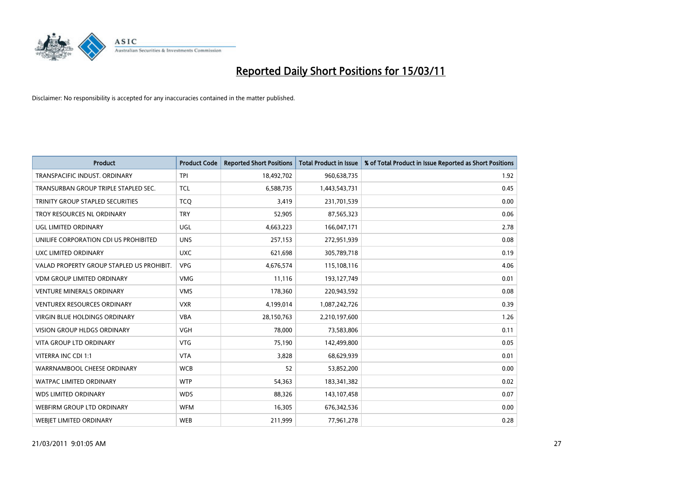

| <b>Product</b>                            | <b>Product Code</b> | <b>Reported Short Positions</b> | Total Product in Issue | % of Total Product in Issue Reported as Short Positions |
|-------------------------------------------|---------------------|---------------------------------|------------------------|---------------------------------------------------------|
| TRANSPACIFIC INDUST, ORDINARY             | <b>TPI</b>          | 18,492,702                      | 960,638,735            | 1.92                                                    |
| TRANSURBAN GROUP TRIPLE STAPLED SEC.      | <b>TCL</b>          | 6,588,735                       | 1,443,543,731          | 0.45                                                    |
| TRINITY GROUP STAPLED SECURITIES          | <b>TCQ</b>          | 3,419                           | 231,701,539            | 0.00                                                    |
| TROY RESOURCES NL ORDINARY                | <b>TRY</b>          | 52,905                          | 87,565,323             | 0.06                                                    |
| UGL LIMITED ORDINARY                      | <b>UGL</b>          | 4,663,223                       | 166,047,171            | 2.78                                                    |
| UNILIFE CORPORATION CDI US PROHIBITED     | <b>UNS</b>          | 257,153                         | 272,951,939            | 0.08                                                    |
| UXC LIMITED ORDINARY                      | <b>UXC</b>          | 621,698                         | 305,789,718            | 0.19                                                    |
| VALAD PROPERTY GROUP STAPLED US PROHIBIT. | <b>VPG</b>          | 4,676,574                       | 115,108,116            | 4.06                                                    |
| VDM GROUP LIMITED ORDINARY                | <b>VMG</b>          | 11,116                          | 193,127,749            | 0.01                                                    |
| <b>VENTURE MINERALS ORDINARY</b>          | <b>VMS</b>          | 178,360                         | 220,943,592            | 0.08                                                    |
| <b>VENTUREX RESOURCES ORDINARY</b>        | <b>VXR</b>          | 4,199,014                       | 1,087,242,726          | 0.39                                                    |
| <b>VIRGIN BLUE HOLDINGS ORDINARY</b>      | <b>VBA</b>          | 28,150,763                      | 2,210,197,600          | 1.26                                                    |
| <b>VISION GROUP HLDGS ORDINARY</b>        | <b>VGH</b>          | 78.000                          | 73,583,806             | 0.11                                                    |
| <b>VITA GROUP LTD ORDINARY</b>            | <b>VTG</b>          | 75,190                          | 142,499,800            | 0.05                                                    |
| VITERRA INC CDI 1:1                       | <b>VTA</b>          | 3,828                           | 68,629,939             | 0.01                                                    |
| WARRNAMBOOL CHEESE ORDINARY               | <b>WCB</b>          | 52                              | 53,852,200             | 0.00                                                    |
| <b>WATPAC LIMITED ORDINARY</b>            | <b>WTP</b>          | 54,363                          | 183,341,382            | 0.02                                                    |
| WDS LIMITED ORDINARY                      | <b>WDS</b>          | 88,326                          | 143,107,458            | 0.07                                                    |
| WEBFIRM GROUP LTD ORDINARY                | <b>WFM</b>          | 16,305                          | 676,342,536            | 0.00                                                    |
| <b>WEBIET LIMITED ORDINARY</b>            | <b>WEB</b>          | 211,999                         | 77,961,278             | 0.28                                                    |